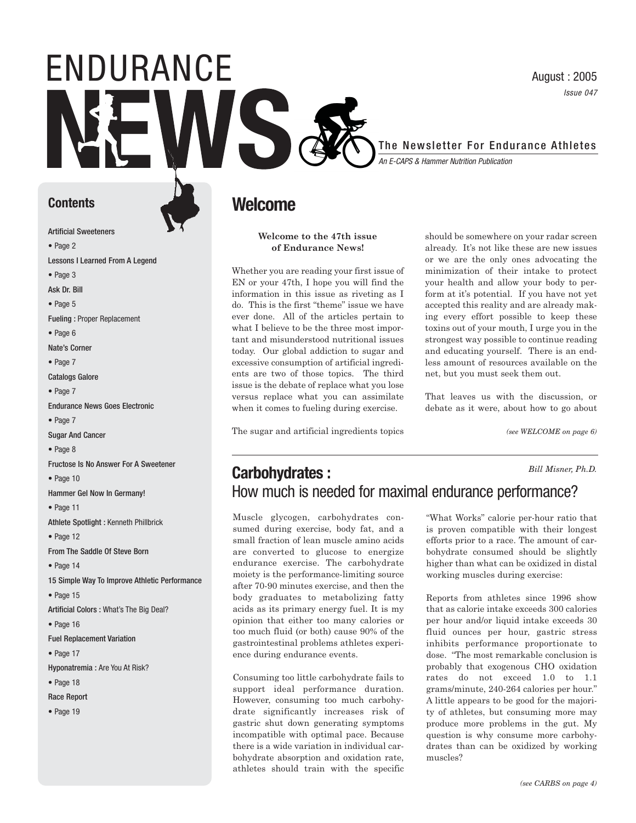### August : 2005 Issue 047

## The Newsletter For Endurance Athletes

An E-CAPS & Hammer Nutrition Publication

#### **Contents**

Artificial Sweeteners

**•** Page 2

Lessons I Learned From A Legend

ENDURANCE

**•** Page 3

Ask Dr. Bill

**•** Page 5

Fueling : Proper Replacement

**•** Page 6

Nate's Corner

• Page 7

Catalogs Galore

• Page 7

Endurance News Goes Electronic

• Page 7

Sugar And Cancer

**•** Page 8

Fructose Is No Answer For A Sweetener

**•** Page 10

Hammer Gel Now In Germany!

• Page 11

Athlete Spotlight : Kenneth Phillbrick

• Page 12

From The Saddle Of Steve Born

• Page 14

15 Simple Way To Improve Athletic Performance

• Page 15

Artificial Colors : What's The Big Deal?

• Page 16

Fuel Replacement Variation

• Page 17

Hyponatremia : Are You At Risk?

• Page 18

Race Report

• Page 19

## **Welcome**

#### **Welcome to the 47th issue of Endurance News!**

Whether you are reading your first issue of EN or your 47th, I hope you will find the information in this issue as riveting as I do. This is the first "theme" issue we have ever done. All of the articles pertain to what I believe to be the three most important and misunderstood nutritional issues today. Our global addiction to sugar and excessive consumption of artificial ingredients are two of those topics. The third issue is the debate of replace what you lose versus replace what you can assimilate when it comes to fueling during exercise.

The sugar and artificial ingredients topics

should be somewhere on your radar screen already. It's not like these are new issues or we are the only ones advocating the minimization of their intake to protect your health and allow your body to perform at it's potential. If you have not yet accepted this reality and are already making every effort possible to keep these toxins out of your mouth, I urge you in the strongest way possible to continue reading and educating yourself. There is an endless amount of resources available on the net, but you must seek them out.

That leaves us with the discussion, or debate as it were, about how to go about

*(see WELCOME on page 6)*

#### **Carbohydrates :**  How much is needed for maximal endurance performance? *Bill Misner, Ph.D.*

Muscle glycogen, carbohydrates consumed during exercise, body fat, and a small fraction of lean muscle amino acids are converted to glucose to energize endurance exercise. The carbohydrate moiety is the performance-limiting source after 70-90 minutes exercise, and then the body graduates to metabolizing fatty acids as its primary energy fuel. It is my opinion that either too many calories or too much fluid (or both) cause 90% of the gastrointestinal problems athletes experience during endurance events.

Consuming too little carbohydrate fails to support ideal performance duration. However, consuming too much carbohydrate significantly increases risk of gastric shut down generating symptoms incompatible with optimal pace. Because there is a wide variation in individual carbohydrate absorption and oxidation rate, athletes should train with the specific

"What Works" calorie per-hour ratio that is proven compatible with their longest efforts prior to a race. The amount of carbohydrate consumed should be slightly higher than what can be oxidized in distal working muscles during exercise:

Reports from athletes since 1996 show that as calorie intake exceeds 300 calories per hour and/or liquid intake exceeds 30 fluid ounces per hour, gastric stress inhibits performance proportionate to dose. "The most remarkable conclusion is probably that exogenous CHO oxidation rates do not exceed 1.0 to 1.1 grams/minute, 240-264 calories per hour." A little appears to be good for the majority of athletes, but consuming more may produce more problems in the gut. My question is why consume more carbohydrates than can be oxidized by working muscles?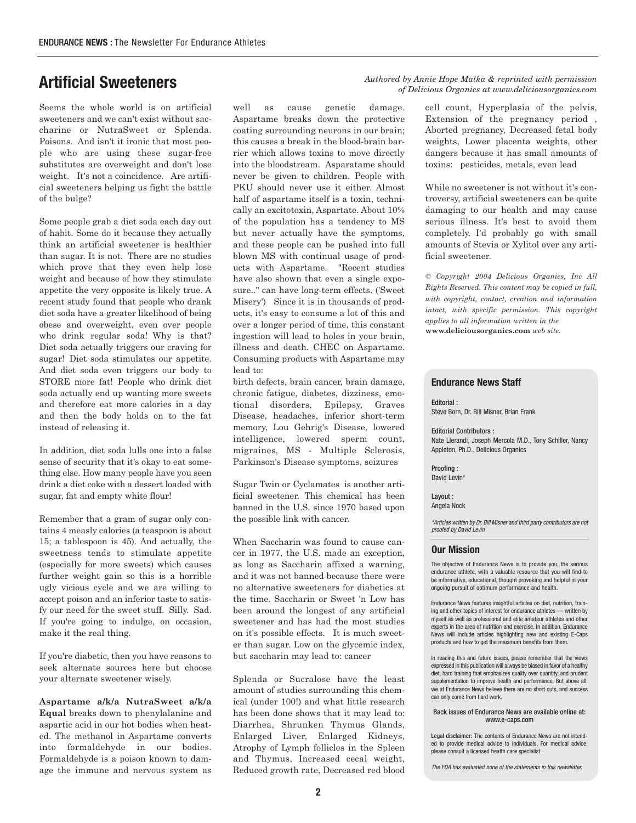Seems the whole world is on artificial sweeteners and we can't exist without saccharine or NutraSweet or Splenda. Poisons. And isn't it ironic that most people who are using these sugar-free substitutes are overweight and don't lose weight. It's not a coincidence. Are artificial sweeteners helping us fight the battle of the bulge?

Some people grab a diet soda each day out of habit. Some do it because they actually think an artificial sweetener is healthier than sugar. It is not. There are no studies which prove that they even help lose weight and because of how they stimulate appetite the very opposite is likely true. A recent study found that people who drank diet soda have a greater likelihood of being obese and overweight, even over people who drink regular soda! Why is that? Diet soda actually triggers our craving for sugar! Diet soda stimulates our appetite. And diet soda even triggers our body to STORE more fat! People who drink diet soda actually end up wanting more sweets and therefore eat more calories in a day and then the body holds on to the fat instead of releasing it.

In addition, diet soda lulls one into a false sense of security that it's okay to eat something else. How many people have you seen drink a diet coke with a dessert loaded with sugar, fat and empty white flour!

Remember that a gram of sugar only contains 4 measly calories (a teaspoon is about 15; a tablespoon is 45). And actually, the sweetness tends to stimulate appetite (especially for more sweets) which causes further weight gain so this is a horrible ugly vicious cycle and we are willing to accept poison and an inferior taste to satisfy our need for the sweet stuff. Silly. Sad. If you're going to indulge, on occasion, make it the real thing.

If you're diabetic, then you have reasons to seek alternate sources here but choose your alternate sweetener wisely.

**Aspartame a/k/a NutraSweet a/k/a Equal** breaks down to phenylalanine and aspartic acid in our hot bodies when heated. The methanol in Aspartame converts into formaldehyde in our bodies. Formaldehyde is a poison known to damage the immune and nervous system as

well as cause genetic damage. Aspartame breaks down the protective coating surrounding neurons in our brain; this causes a break in the blood-brain barrier which allows toxins to move directly into the bloodstream. Asparatame should never be given to children. People with PKU should never use it either. Almost half of aspartame itself is a toxin, technically an excitotoxin, Aspartate. About 10% of the population has a tendency to MS but never actually have the symptoms, and these people can be pushed into full blown MS with continual usage of products with Aspartame. "Recent studies have also shown that even a single exposure.." can have long-term effects. ('Sweet Misery') Since it is in thousands of products, it's easy to consume a lot of this and over a longer period of time, this constant ingestion will lead to holes in your brain, illness and death. CHEC on Aspartame. Consuming products with Aspartame may lead to:

birth defects, brain cancer, brain damage, chronic fatigue, diabetes, dizziness, emotional disorders, Epilepsy, Graves Disease, headaches, inferior short-term memory, Lou Gehrig's Disease, lowered intelligence, lowered sperm count, migraines, MS - Multiple Sclerosis, Parkinson's Disease symptoms, seizures

Sugar Twin or Cyclamates is another artificial sweetener. This chemical has been banned in the U.S. since 1970 based upon the possible link with cancer.

When Saccharin was found to cause cancer in 1977, the U.S. made an exception, as long as Saccharin affixed a warning, and it was not banned because there were no alternative sweeteners for diabetics at the time. Saccharin or Sweet 'n Low has been around the longest of any artificial sweetener and has had the most studies on it's possible effects. It is much sweeter than sugar. Low on the glycemic index, but saccharin may lead to: cancer

Splenda or Sucralose have the least amount of studies surrounding this chemical (under 100!) and what little research has been done shows that it may lead to: Diarrhea, Shrunken Thymus Glands, Enlarged Liver, Enlarged Kidneys, Atrophy of Lymph follicles in the Spleen and Thymus, Increased cecal weight, Reduced growth rate, Decreased red blood

## *Authored by Annie Hope Malka & reprinted with permission* **Artificial Sweeteners** *of Delicious Organics at www.deliciousorganics.com*

cell count, Hyperplasia of the pelvis, Extension of the pregnancy period , Aborted pregnancy, Decreased fetal body weights, Lower placenta weights, other dangers because it has small amounts of toxins: pesticides, metals, even lead

While no sweetener is not without it's controversy, artificial sweeteners can be quite damaging to our health and may cause serious illness. It's best to avoid them completely. I'd probably go with small amounts of Stevia or Xylitol over any artificial sweetener.

*© Copyright 2004 Delicious Organics, Inc All Rights Reserved. This content may be copied in full, with copyright, contact, creation and information intact, with specific permission. This copyright applies to all information written in the* **www.deliciousorganics.com** *web site.*

#### **Endurance News Staff**

Editorial : Steve Born, Dr. Bill Misner, Brian Frank

Editorial Contributors : Nate Llerandi, Joseph Mercola M.D., Tony Schiller, Nancy Appleton, Ph.D., Delicious Organics

Proofing : David Levin\*

Layout : Angela Nock

\*Articles written by Dr. Bill Misner and third party contributors are not proofed by David Levin

#### **Our Mission**

The objective of Endurance News is to provide you, the serious endurance athlete, with a valuable resource that you will find to be informative, educational, thought provoking and helpful in your ongoing pursuit of optimum performance and health.

Endurance News features insightful articles on diet, nutrition, training and other topics of interest for endurance athletes — written by myself as well as professional and elite amateur athletes and other experts in the area of nutrition and exercise. In addition, Endurance News will include articles highlighting new and existing E-Caps products and how to get the maximum benefits from them.

In reading this and future issues, please remember that the views expressed in this publication will always be biased in favor of a healthy diet, hard training that emphasizes quality over quantity, and prudent supplementation to improve health and performance. But above all, we at Endurance News believe there are no short cuts, and success can only come from hard work.

#### Back issues of Endurance News are available online at: www.e-caps.com

Legal disclaimer: The contents of Endurance News are not intended to provide medical advice to individuals. For medical advice, please consult a licensed health care specialist.

The FDA has evaluated none of the statements in this newsletter.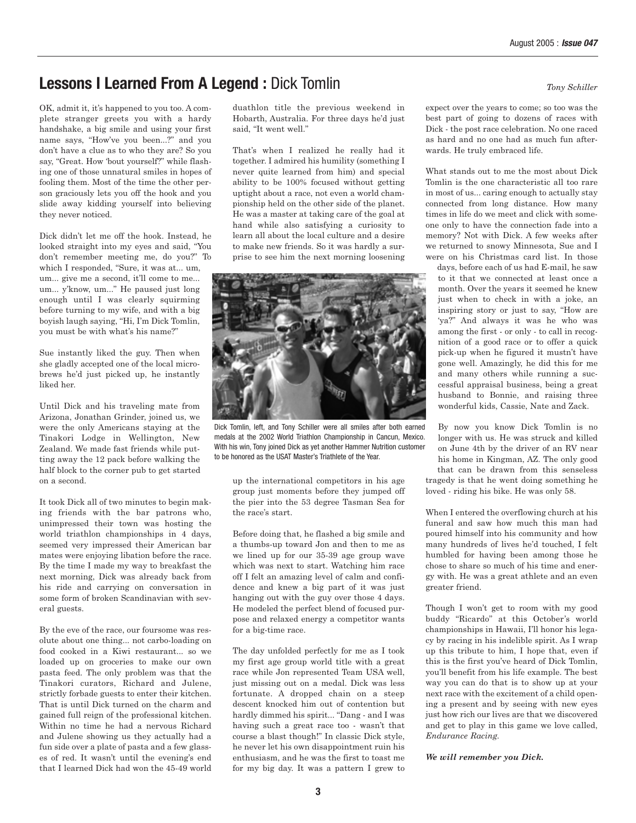## **Lessons I Learned From A Legend :** Dick Tomlin *Tony Schiller*

OK, admit it, it's happened to you too. A complete stranger greets you with a hardy handshake, a big smile and using your first name says, "How've you been...?" and you don't have a clue as to who they are? So you say, "Great. How 'bout yourself?" while flashing one of those unnatural smiles in hopes of fooling them. Most of the time the other person graciously lets you off the hook and you slide away kidding yourself into believing they never noticed.

Dick didn't let me off the hook. Instead, he looked straight into my eyes and said, "You don't remember meeting me, do you?" To which I responded, "Sure, it was at... um, um... give me a second, it'll come to me... um... y'know, um..." He paused just long enough until I was clearly squirming before turning to my wife, and with a big boyish laugh saying, "Hi, I'm Dick Tomlin, you must be with what's his name?"

Sue instantly liked the guy. Then when she gladly accepted one of the local microbrews he'd just picked up, he instantly liked her.

Until Dick and his traveling mate from Arizona, Jonathan Grinder, joined us, we were the only Americans staying at the Tinakori Lodge in Wellington, New Zealand. We made fast friends while putting away the 12 pack before walking the half block to the corner pub to get started on a second.

It took Dick all of two minutes to begin making friends with the bar patrons who, unimpressed their town was hosting the world triathlon championships in 4 days, seemed very impressed their American bar mates were enjoying libation before the race. By the time I made my way to breakfast the next morning, Dick was already back from his ride and carrying on conversation in some form of broken Scandinavian with several guests.

By the eve of the race, our foursome was resolute about one thing... not carbo-loading on food cooked in a Kiwi restaurant... so we loaded up on groceries to make our own pasta feed. The only problem was that the Tinakori curators, Richard and Julene, strictly forbade guests to enter their kitchen. That is until Dick turned on the charm and gained full reign of the professional kitchen. Within no time he had a nervous Richard and Julene showing us they actually had a fun side over a plate of pasta and a few glasses of red. It wasn't until the evening's end that I learned Dick had won the 45-49 world duathlon title the previous weekend in Hobarth, Australia. For three days he'd just said, "It went well."

That's when I realized he really had it together. I admired his humility (something I never quite learned from him) and special ability to be 100% focused without getting uptight about a race, not even a world championship held on the other side of the planet. He was a master at taking care of the goal at hand while also satisfying a curiosity to learn all about the local culture and a desire to make new friends. So it was hardly a surprise to see him the next morning loosening



Dick Tomlin, left, and Tony Schiller were all smiles after both earned medals at the 2002 World Triathlon Championship in Cancun, Mexico. With his win, Tony joined Dick as yet another Hammer Nutrition customer to be honored as the USAT Master's Triathlete of the Year.

up the international competitors in his age group just moments before they jumped off the pier into the 53 degree Tasman Sea for the race's start.

Before doing that, he flashed a big smile and a thumbs-up toward Jon and then to me as we lined up for our 35-39 age group wave which was next to start. Watching him race off I felt an amazing level of calm and confidence and knew a big part of it was just hanging out with the guy over those 4 days. He modeled the perfect blend of focused purpose and relaxed energy a competitor wants for a big-time race.

The day unfolded perfectly for me as I took my first age group world title with a great race while Jon represented Team USA well, just missing out on a medal. Dick was less fortunate. A dropped chain on a steep descent knocked him out of contention but hardly dimmed his spirit... "Dang - and I was having such a great race too - wasn't that course a blast though!" In classic Dick style, he never let his own disappointment ruin his enthusiasm, and he was the first to toast me for my big day. It was a pattern I grew to

expect over the years to come; so too was the best part of going to dozens of races with Dick - the post race celebration. No one raced as hard and no one had as much fun afterwards. He truly embraced life.

What stands out to me the most about Dick Tomlin is the one characteristic all too rare in most of us... caring enough to actually stay connected from long distance. How many times in life do we meet and click with someone only to have the connection fade into a memory? Not with Dick. A few weeks after we returned to snowy Minnesota, Sue and I were on his Christmas card list. In those

days, before each of us had E-mail, he saw to it that we connected at least once a month. Over the years it seemed he knew just when to check in with a joke, an inspiring story or just to say, "How are 'ya?" And always it was he who was among the first - or only - to call in recognition of a good race or to offer a quick pick-up when he figured it mustn't have gone well. Amazingly, he did this for me and many others while running a successful appraisal business, being a great husband to Bonnie, and raising three wonderful kids, Cassie, Nate and Zack.

By now you know Dick Tomlin is no longer with us. He was struck and killed on June 4th by the driver of an RV near his home in Kingman, AZ. The only good that can be drawn from this senseless tragedy is that he went doing something he loved - riding his bike. He was only 58.

When I entered the overflowing church at his funeral and saw how much this man had poured himself into his community and how many hundreds of lives he'd touched, I felt humbled for having been among those he chose to share so much of his time and energy with. He was a great athlete and an even greater friend.

Though I won't get to room with my good buddy "Ricardo" at this October's world championships in Hawaii, I'll honor his legacy by racing in his indelible spirit. As I wrap up this tribute to him, I hope that, even if this is the first you've heard of Dick Tomlin, you'll benefit from his life example. The best way you can do that is to show up at your next race with the excitement of a child opening a present and by seeing with new eyes just how rich our lives are that we discovered and get to play in this game we love called, *Endurance Racing.*

*We will remember you Dick.*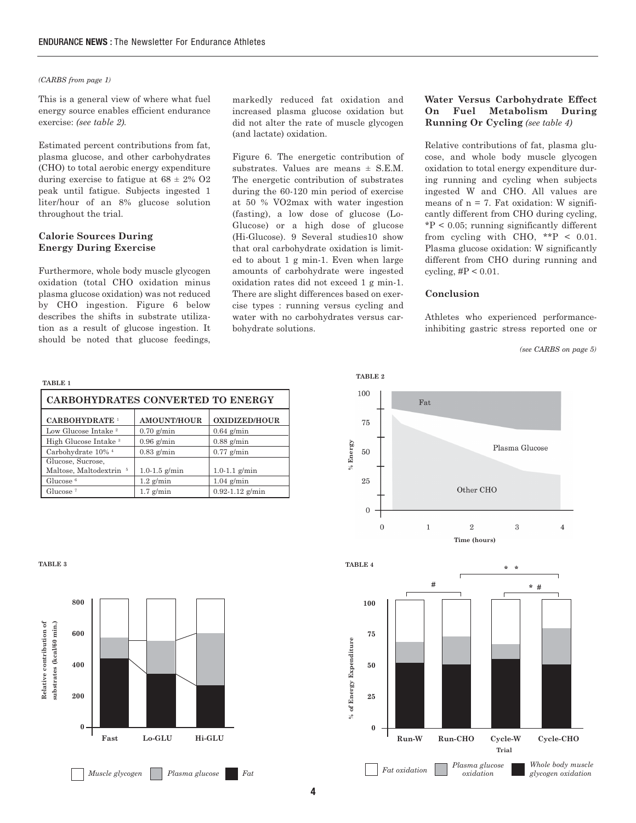#### *(CARBS from page 1)*

This is a general view of where what fuel energy source enables efficient endurance exercise: *(see table 2).*

Estimated percent contributions from fat, plasma glucose, and other carbohydrates (CHO) to total aerobic energy expenditure during exercise to fatigue at  $68 \pm 2\%$  O2 peak until fatigue. Subjects ingested 1 liter/hour of an 8% glucose solution throughout the trial.

#### **Calorie Sources During Energy During Exercise**

Furthermore, whole body muscle glycogen oxidation (total CHO oxidation minus plasma glucose oxidation) was not reduced by CHO ingestion. Figure 6 below describes the shifts in substrate utilization as a result of glucose ingestion. It should be noted that glucose feedings,

markedly reduced fat oxidation and increased plasma glucose oxidation but did not alter the rate of muscle glycogen (and lactate) oxidation.

Figure 6. The energetic contribution of substrates. Values are means  $\pm$  S.E.M. The energetic contribution of substrates during the 60-120 min period of exercise at 50 % VO2max with water ingestion (fasting), a low dose of glucose (Lo-Glucose) or a high dose of glucose (Hi-Glucose). 9 Several studies10 show that oral carbohydrate oxidation is limited to about 1 g min-1. Even when large amounts of carbohydrate were ingested oxidation rates did not exceed 1 g min-1. There are slight differences based on exercise types : running versus cycling and water with no carbohydrates versus carbohydrate solutions.

#### **Water Versus Carbohydrate Effect On Fuel Metabolism During Running Or Cycling** *(see table 4)*

Relative contributions of fat, plasma glucose, and whole body muscle glycogen oxidation to total energy expenditure during running and cycling when subjects ingested W and CHO. All values are means of  $n = 7$ . Fat oxidation: W significantly different from CHO during cycling,  $*P < 0.05$ ; running significantly different from cycling with CHO,  $**P < 0.01$ . Plasma glucose oxidation: W significantly different from CHO during running and cycling,  $\text{\#P}$  < 0.01.

#### **Conclusion**

Athletes who experienced performanceinhibiting gastric stress reported one or

*(see CARBS on page 5)*

| CARBOHYDRATES CONVERTED TO ENERGY  |                    |                      |  |  |  |
|------------------------------------|--------------------|----------------------|--|--|--|
| <b>CARBOHYDRATE 1</b>              | <b>AMOUNT/HOUR</b> | <b>OXIDIZED/HOUR</b> |  |  |  |
| Low Glucose Intake <sup>2</sup>    | $0.70$ g/min       | $0.64$ g/min         |  |  |  |
| High Glucose Intake <sup>3</sup>   | $0.96$ g/min       | $0.88$ g/min         |  |  |  |
| Carbohydrate 10% <sup>4</sup>      | $0.83$ g/min       | $0.77$ g/min         |  |  |  |
| Glucose, Sucrose,                  |                    |                      |  |  |  |
| Maltose, Maltodextrin <sup>5</sup> | $1.0 - 1.5$ g/min  | $1.0 - 1.1$ g/min    |  |  |  |
| Glucose <sup><math>6</math></sup>  | $1.2$ g/min        | $1.04$ g/min         |  |  |  |
| Glucose <sup><math>7</math></sup>  | $1.7$ g/min        | $0.92 - 1.12$ g/min  |  |  |  |

**TABLE 3**

**TABLE 1**



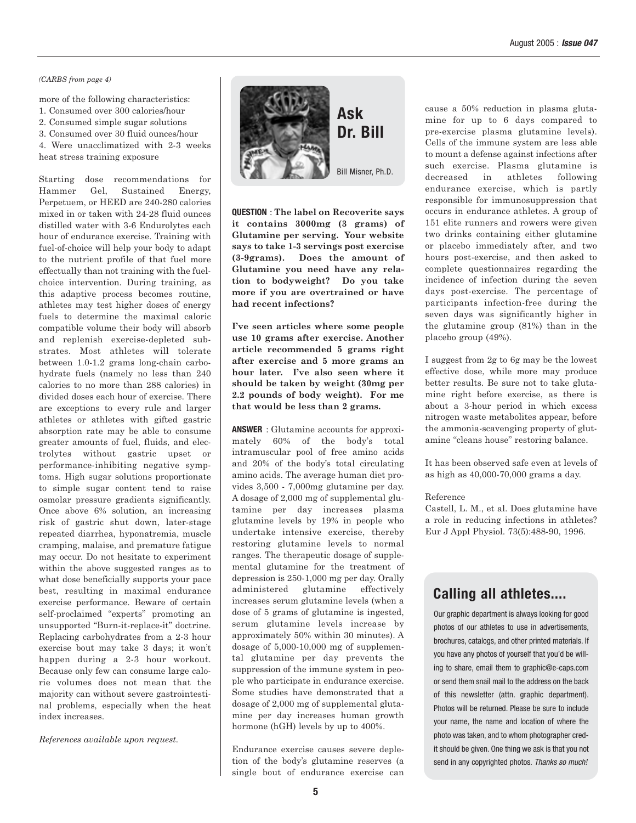#### *(CARBS from page 4)*

more of the following characteristics:

- 1. Consumed over 300 calories/hour
- 2. Consumed simple sugar solutions
- 3. Consumed over 30 fluid ounces/hour

4. Were unacclimatized with 2-3 weeks heat stress training exposure

Starting dose recommendations for Hammer Gel, Sustained Energy, Perpetuem, or HEED are 240-280 calories mixed in or taken with 24-28 fluid ounces distilled water with 3-6 Endurolytes each hour of endurance exercise. Training with fuel-of-choice will help your body to adapt to the nutrient profile of that fuel more effectually than not training with the fuelchoice intervention. During training, as this adaptive process becomes routine, athletes may test higher doses of energy fuels to determine the maximal caloric compatible volume their body will absorb and replenish exercise-depleted substrates. Most athletes will tolerate between 1.0-1.2 grams long-chain carbohydrate fuels (namely no less than 240 calories to no more than 288 calories) in divided doses each hour of exercise. There are exceptions to every rule and larger athletes or athletes with gifted gastric absorption rate may be able to consume greater amounts of fuel, fluids, and electrolytes without gastric upset or performance-inhibiting negative symptoms. High sugar solutions proportionate to simple sugar content tend to raise osmolar pressure gradients significantly. Once above 6% solution, an increasing risk of gastric shut down, later-stage repeated diarrhea, hyponatremia, muscle cramping, malaise, and premature fatigue may occur. Do not hesitate to experiment within the above suggested ranges as to what dose beneficially supports your pace best, resulting in maximal endurance exercise performance. Beware of certain self-proclaimed "experts" promoting an unsupported "Burn-it-replace-it" doctrine. Replacing carbohydrates from a 2-3 hour exercise bout may take 3 days; it won't happen during a 2-3 hour workout. Because only few can consume large calorie volumes does not mean that the majority can without severe gastrointestinal problems, especially when the heat index increases.

*References available upon request.*



**Ask Dr. Bill**

Bill Misner, Ph.D.

**QUESTION** : **The label on Recoverite says it contains 3000mg (3 grams) of Glutamine per serving. Your website says to take 1-3 servings post exercise (3-9grams). Does the amount of Glutamine you need have any relation to bodyweight? Do you take more if you are overtrained or have had recent infections?** 

**I've seen articles where some people use 10 grams after exercise. Another article recommended 5 grams right after exercise and 5 more grams an hour later. I've also seen where it should be taken by weight (30mg per 2.2 pounds of body weight). For me that would be less than 2 grams.** 

**ANSWER** : Glutamine accounts for approximately 60% of the body's total intramuscular pool of free amino acids and 20% of the body's total circulating amino acids. The average human diet provides 3,500 - 7,000mg glutamine per day. A dosage of 2,000 mg of supplemental glutamine per day increases plasma glutamine levels by 19% in people who undertake intensive exercise, thereby restoring glutamine levels to normal ranges. The therapeutic dosage of supplemental glutamine for the treatment of depression is 250-1,000 mg per day. Orally administered glutamine effectively increases serum glutamine levels (when a dose of 5 grams of glutamine is ingested, serum glutamine levels increase by approximately 50% within 30 minutes). A dosage of 5,000-10,000 mg of supplemental glutamine per day prevents the suppression of the immune system in people who participate in endurance exercise. Some studies have demonstrated that a dosage of 2,000 mg of supplemental glutamine per day increases human growth hormone (hGH) levels by up to 400%.

Endurance exercise causes severe depletion of the body's glutamine reserves (a single bout of endurance exercise can cause a 50% reduction in plasma glutamine for up to 6 days compared to pre-exercise plasma glutamine levels). Cells of the immune system are less able to mount a defense against infections after such exercise. Plasma glutamine is decreased in athletes following endurance exercise, which is partly responsible for immunosuppression that occurs in endurance athletes. A group of 151 elite runners and rowers were given two drinks containing either glutamine or placebo immediately after, and two hours post-exercise, and then asked to complete questionnaires regarding the incidence of infection during the seven days post-exercise. The percentage of participants infection-free during the seven days was significantly higher in the glutamine group (81%) than in the placebo group (49%).

I suggest from 2g to 6g may be the lowest effective dose, while more may produce better results. Be sure not to take glutamine right before exercise, as there is about a 3-hour period in which excess nitrogen waste metabolites appear, before the ammonia-scavenging property of glutamine "cleans house" restoring balance.

It has been observed safe even at levels of as high as 40,000-70,000 grams a day.

#### Reference

Castell, L. M., et al. Does glutamine have a role in reducing infections in athletes? Eur J Appl Physiol. 73(5):488-90, 1996.

### **Calling all athletes....**

Our graphic department is always looking for good photos of our athletes to use in advertisements, brochures, catalogs, and other printed materials. If you have any photos of yourself that you'd be willing to share, email them to graphic@e-caps.com or send them snail mail to the address on the back of this newsletter (attn. graphic department). Photos will be returned. Please be sure to include your name, the name and location of where the photo was taken, and to whom photographer credit should be given. One thing we ask is that you not send in any copyrighted photos. Thanks so much!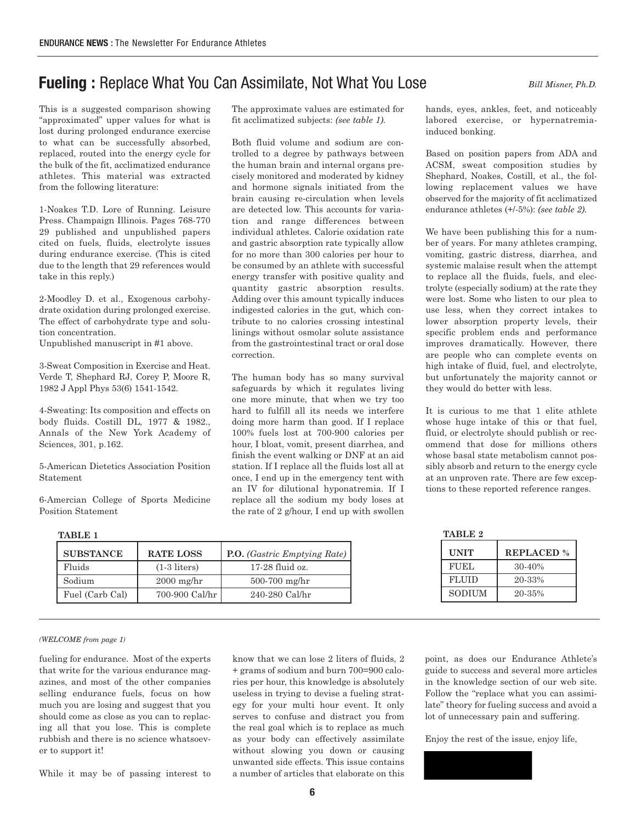## **Fueling :** Replace What You Can Assimilate, Not What You Lose *Bill Misner, Ph.D.*

This is a suggested comparison showing "approximated" upper values for what is lost during prolonged endurance exercise to what can be successfully absorbed, replaced, routed into the energy cycle for the bulk of the fit, acclimatized endurance athletes. This material was extracted from the following literature:

1-Noakes T.D. Lore of Running. Leisure Press. Champaign Illinois. Pages 768-770 29 published and unpublished papers cited on fuels, fluids, electrolyte issues during endurance exercise. (This is cited due to the length that 29 references would take in this reply.)

2-Moodley D. et al., Exogenous carbohydrate oxidation during prolonged exercise. The effect of carbohydrate type and solution concentration.

Unpublished manuscript in #1 above.

3-Sweat Composition in Exercise and Heat. Verde T, Shephard RJ, Corey P, Moore R, 1982 J Appl Phys 53(6) 1541-1542.

4-Sweating: Its composition and effects on body fluids. Costill DL, 1977 & 1982., Annals of the New York Academy of Sciences, 301, p.162.

5-American Dietetics Association Position Statement

6-Amercian College of Sports Medicine Position Statement

The approximate values are estimated for fit acclimatized subjects: *(see table 1).*

Both fluid volume and sodium are controlled to a degree by pathways between the human brain and internal organs precisely monitored and moderated by kidney and hormone signals initiated from the brain causing re-circulation when levels are detected low. This accounts for variation and range differences between individual athletes. Calorie oxidation rate and gastric absorption rate typically allow for no more than 300 calories per hour to be consumed by an athlete with successful energy transfer with positive quality and quantity gastric absorption results. Adding over this amount typically induces indigested calories in the gut, which contribute to no calories crossing intestinal linings without osmolar solute assistance from the gastrointestinal tract or oral dose correction.

The human body has so many survival safeguards by which it regulates living one more minute, that when we try too hard to fulfill all its needs we interfere doing more harm than good. If I replace 100% fuels lost at 700-900 calories per hour, I bloat, vomit, present diarrhea, and finish the event walking or DNF at an aid station. If I replace all the fluids lost all at once, I end up in the emergency tent with an IV for dilutional hyponatremia. If I replace all the sodium my body loses at the rate of 2 g/hour, I end up with swollen

hands, eyes, ankles, feet, and noticeably labored exercise, or hypernatremiainduced bonking.

Based on position papers from ADA and ACSM, sweat composition studies by Shephard, Noakes, Costill, et al., the following replacement values we have observed for the majority of fit acclimatized endurance athletes (+/-5%): *(see table 2).*

We have been publishing this for a number of years. For many athletes cramping, vomiting, gastric distress, diarrhea, and systemic malaise result when the attempt to replace all the fluids, fuels, and electrolyte (especially sodium) at the rate they were lost. Some who listen to our plea to use less, when they correct intakes to lower absorption property levels, their specific problem ends and performance improves dramatically. However, there are people who can complete events on high intake of fluid, fuel, and electrolyte, but unfortunately the majority cannot or they would do better with less.

It is curious to me that 1 elite athlete whose huge intake of this or that fuel, fluid, or electrolyte should publish or recommend that dose for millions others whose basal state metabolism cannot possibly absorb and return to the energy cycle at an unproven rate. There are few exceptions to these reported reference ranges.

| TABLE 1          |                  | TABLE 2                             |              |                   |
|------------------|------------------|-------------------------------------|--------------|-------------------|
| <b>SUBSTANCE</b> | <b>RATE LOSS</b> | <b>P.O.</b> (Gastric Emptying Rate) | <b>UNIT</b>  | <b>REPLACED %</b> |
| Fluids           | $(1-3$ liters)   | 17-28 fluid oz.                     | <b>FUEL</b>  | $30-40%$          |
| Sodium           | $2000$ mg/hr     | $500-700$ mg/hr                     | <b>FLUID</b> | 20-33%            |
| Fuel (Carb Cal)  | 700-900 Cal/hr   | $240-280$ Cal/hr                    | SODIUM       | 20-35%            |

*(WELCOME from page 1)*

fueling for endurance. Most of the experts that write for the various endurance magazines, and most of the other companies selling endurance fuels, focus on how much you are losing and suggest that you should come as close as you can to replacing all that you lose. This is complete rubbish and there is no science whatsoever to support it!

While it may be of passing interest to

know that we can lose 2 liters of fluids, 2 + grams of sodium and burn 700=900 calories per hour, this knowledge is absolutely useless in trying to devise a fueling strategy for your multi hour event. It only serves to confuse and distract you from the real goal which is to replace as much as your body can effectively assimilate without slowing you down or causing unwanted side effects. This issue contains a number of articles that elaborate on this point, as does our Endurance Athlete's guide to success and several more articles in the knowledge section of our web site. Follow the "replace what you can assimilate" theory for fueling success and avoid a lot of unnecessary pain and suffering.

Enjoy the rest of the issue, enjoy life,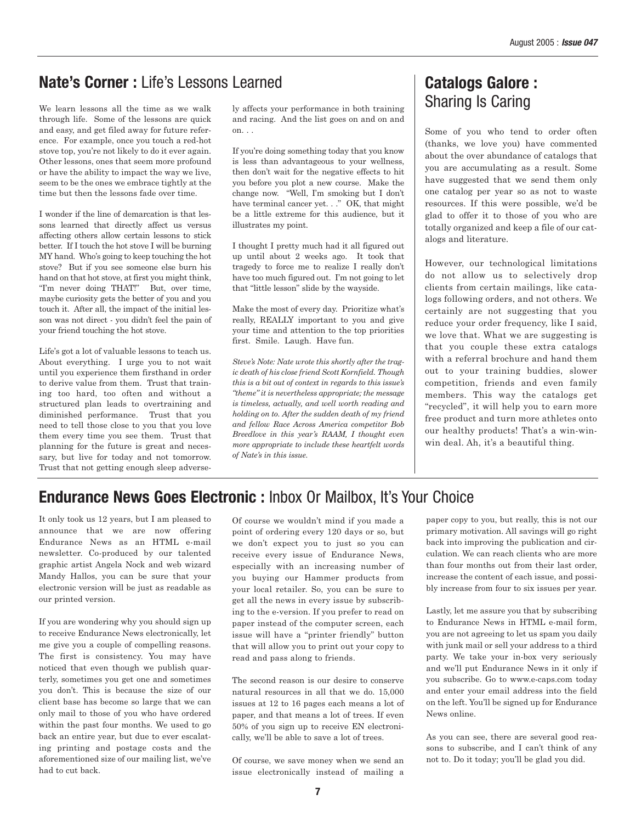## **Nate's Corner :** Life's Lessons Learned

We learn lessons all the time as we walk through life. Some of the lessons are quick and easy, and get filed away for future reference. For example, once you touch a red-hot stove top, you're not likely to do it ever again. Other lessons, ones that seem more profound or have the ability to impact the way we live, seem to be the ones we embrace tightly at the time but then the lessons fade over time.

I wonder if the line of demarcation is that lessons learned that directly affect us versus affecting others allow certain lessons to stick better. If I touch the hot stove I will be burning MY hand. Who's going to keep touching the hot stove? But if you see someone else burn his hand on that hot stove, at first you might think, "I'm never doing THAT!" But, over time, maybe curiosity gets the better of you and you touch it. After all, the impact of the initial lesson was not direct - you didn't feel the pain of your friend touching the hot stove.

Life's got a lot of valuable lessons to teach us. About everything. I urge you to not wait until you experience them firsthand in order to derive value from them. Trust that training too hard, too often and without a structured plan leads to overtraining and diminished performance. Trust that you need to tell those close to you that you love them every time you see them. Trust that planning for the future is great and necessary, but live for today and not tomorrow. Trust that not getting enough sleep adversely affects your performance in both training and racing. And the list goes on and on and on. . .

If you're doing something today that you know is less than advantageous to your wellness, then don't wait for the negative effects to hit you before you plot a new course. Make the change now. "Well, I'm smoking but I don't have terminal cancer yet. . ." OK, that might be a little extreme for this audience, but it illustrates my point.

I thought I pretty much had it all figured out up until about 2 weeks ago. It took that tragedy to force me to realize I really don't have too much figured out. I'm not going to let that "little lesson" slide by the wayside.

Make the most of every day. Prioritize what's really, REALLY important to you and give your time and attention to the top priorities first. Smile. Laugh. Have fun.

*Steve's Note: Nate wrote this shortly after the tragic death of his close friend Scott Kornfield. Though this is a bit out of context in regards to this issue's "theme" it is nevertheless appropriate; the message is timeless, actually, and well worth reading and holding on to. After the sudden death of my friend and fellow Race Across America competitor Bob Breedlove in this year's RAAM, I thought even more appropriate to include these heartfelt words of Nate's in this issue.* 

## **Catalogs Galore :** Sharing Is Caring

Some of you who tend to order often (thanks, we love you) have commented about the over abundance of catalogs that you are accumulating as a result. Some have suggested that we send them only one catalog per year so as not to waste resources. If this were possible, we'd be glad to offer it to those of you who are totally organized and keep a file of our catalogs and literature.

However, our technological limitations do not allow us to selectively drop clients from certain mailings, like catalogs following orders, and not others. We certainly are not suggesting that you reduce your order frequency, like I said, we love that. What we are suggesting is that you couple these extra catalogs with a referral brochure and hand them out to your training buddies, slower competition, friends and even family members. This way the catalogs get "recycled", it will help you to earn more free product and turn more athletes onto our healthy products! That's a win-winwin deal. Ah, it's a beautiful thing.

## **Endurance News Goes Electronic :** Inbox Or Mailbox, It's Your Choice

It only took us 12 years, but I am pleased to announce that we are now offering Endurance News as an HTML e-mail newsletter. Co-produced by our talented graphic artist Angela Nock and web wizard Mandy Hallos, you can be sure that your electronic version will be just as readable as our printed version.

If you are wondering why you should sign up to receive Endurance News electronically, let me give you a couple of compelling reasons. The first is consistency. You may have noticed that even though we publish quarterly, sometimes you get one and sometimes you don't. This is because the size of our client base has become so large that we can only mail to those of you who have ordered within the past four months. We used to go back an entire year, but due to ever escalating printing and postage costs and the aforementioned size of our mailing list, we've had to cut back.

Of course we wouldn't mind if you made a point of ordering every 120 days or so, but we don't expect you to just so you can receive every issue of Endurance News, especially with an increasing number of you buying our Hammer products from your local retailer. So, you can be sure to get all the news in every issue by subscribing to the e-version. If you prefer to read on paper instead of the computer screen, each issue will have a "printer friendly" button that will allow you to print out your copy to read and pass along to friends.

The second reason is our desire to conserve natural resources in all that we do. 15,000 issues at 12 to 16 pages each means a lot of paper, and that means a lot of trees. If even 50% of you sign up to receive EN electronically, we'll be able to save a lot of trees.

Of course, we save money when we send an issue electronically instead of mailing a paper copy to you, but really, this is not our primary motivation. All savings will go right back into improving the publication and circulation. We can reach clients who are more than four months out from their last order, increase the content of each issue, and possibly increase from four to six issues per year.

Lastly, let me assure you that by subscribing to Endurance News in HTML e-mail form, you are not agreeing to let us spam you daily with junk mail or sell your address to a third party. We take your in-box very seriously and we'll put Endurance News in it only if you subscribe. Go to www.e-caps.com today and enter your email address into the field on the left. You'll be signed up for Endurance News online.

As you can see, there are several good reasons to subscribe, and I can't think of any not to. Do it today; you'll be glad you did.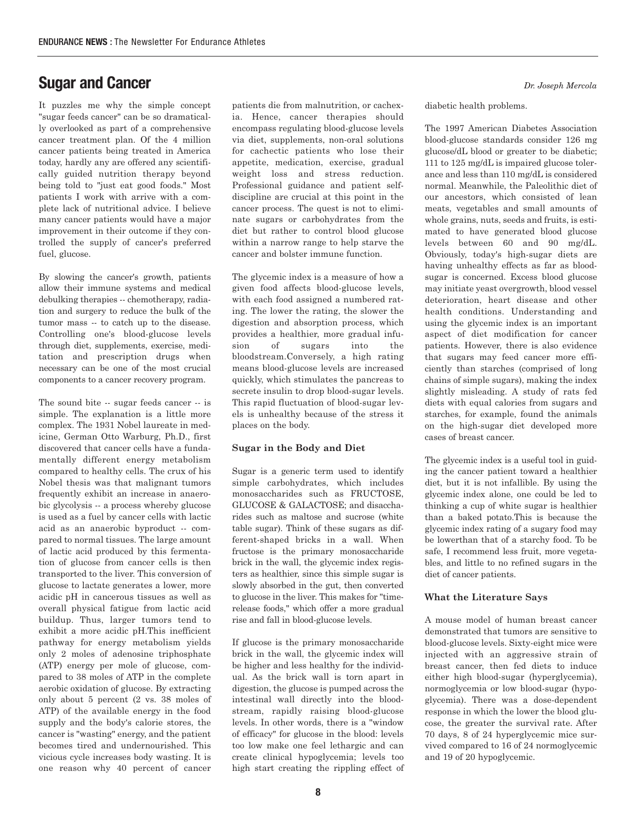## **Sugar and Cancer**

It puzzles me why the simple concept "sugar feeds cancer" can be so dramatically overlooked as part of a comprehensive cancer treatment plan. Of the 4 million cancer patients being treated in America today, hardly any are offered any scientifically guided nutrition therapy beyond being told to "just eat good foods." Most patients I work with arrive with a complete lack of nutritional advice. I believe many cancer patients would have a major improvement in their outcome if they controlled the supply of cancer's preferred fuel, glucose.

By slowing the cancer's growth, patients allow their immune systems and medical debulking therapies -- chemotherapy, radiation and surgery to reduce the bulk of the tumor mass -- to catch up to the disease. Controlling one's blood-glucose levels through diet, supplements, exercise, meditation and prescription drugs when necessary can be one of the most crucial components to a cancer recovery program.

The sound bite -- sugar feeds cancer -- is simple. The explanation is a little more complex. The 1931 Nobel laureate in medicine, German Otto Warburg, Ph.D., first discovered that cancer cells have a fundamentally different energy metabolism compared to healthy cells. The crux of his Nobel thesis was that malignant tumors frequently exhibit an increase in anaerobic glycolysis -- a process whereby glucose is used as a fuel by cancer cells with lactic acid as an anaerobic byproduct -- compared to normal tissues. The large amount of lactic acid produced by this fermentation of glucose from cancer cells is then transported to the liver. This conversion of glucose to lactate generates a lower, more acidic pH in cancerous tissues as well as overall physical fatigue from lactic acid buildup. Thus, larger tumors tend to exhibit a more acidic pH.This inefficient pathway for energy metabolism yields only 2 moles of adenosine triphosphate (ATP) energy per mole of glucose, compared to 38 moles of ATP in the complete aerobic oxidation of glucose. By extracting only about 5 percent (2 vs. 38 moles of ATP) of the available energy in the food supply and the body's calorie stores, the cancer is "wasting" energy, and the patient becomes tired and undernourished. This vicious cycle increases body wasting. It is one reason why 40 percent of cancer

patients die from malnutrition, or cachexia. Hence, cancer therapies should encompass regulating blood-glucose levels via diet, supplements, non-oral solutions for cachectic patients who lose their appetite, medication, exercise, gradual weight loss and stress reduction. Professional guidance and patient selfdiscipline are crucial at this point in the cancer process. The quest is not to eliminate sugars or carbohydrates from the diet but rather to control blood glucose within a narrow range to help starve the cancer and bolster immune function.

The glycemic index is a measure of how a given food affects blood-glucose levels, with each food assigned a numbered rating. The lower the rating, the slower the digestion and absorption process, which provides a healthier, more gradual infusion of sugars into the bloodstream.Conversely, a high rating means blood-glucose levels are increased quickly, which stimulates the pancreas to secrete insulin to drop blood-sugar levels. This rapid fluctuation of blood-sugar levels is unhealthy because of the stress it places on the body.

#### **Sugar in the Body and Diet**

Sugar is a generic term used to identify simple carbohydrates, which includes monosaccharides such as FRUCTOSE, GLUCOSE & GALACTOSE; and disaccharides such as maltose and sucrose (white table sugar). Think of these sugars as different-shaped bricks in a wall. When fructose is the primary monosaccharide brick in the wall, the glycemic index registers as healthier, since this simple sugar is slowly absorbed in the gut, then converted to glucose in the liver. This makes for "timerelease foods," which offer a more gradual rise and fall in blood-glucose levels.

If glucose is the primary monosaccharide brick in the wall, the glycemic index will be higher and less healthy for the individual. As the brick wall is torn apart in digestion, the glucose is pumped across the intestinal wall directly into the bloodstream, rapidly raising blood-glucose levels. In other words, there is a "window of efficacy" for glucose in the blood: levels too low make one feel lethargic and can create clinical hypoglycemia; levels too high start creating the rippling effect of *Dr. Joseph Mercola*

diabetic health problems.

The 1997 American Diabetes Association blood-glucose standards consider 126 mg glucose/dL blood or greater to be diabetic; 111 to 125 mg/dL is impaired glucose tolerance and less than 110 mg/dL is considered normal. Meanwhile, the Paleolithic diet of our ancestors, which consisted of lean meats, vegetables and small amounts of whole grains, nuts, seeds and fruits, is estimated to have generated blood glucose levels between 60 and 90 mg/dL. Obviously, today's high-sugar diets are having unhealthy effects as far as bloodsugar is concerned. Excess blood glucose may initiate yeast overgrowth, blood vessel deterioration, heart disease and other health conditions. Understanding and using the glycemic index is an important aspect of diet modification for cancer patients. However, there is also evidence that sugars may feed cancer more efficiently than starches (comprised of long chains of simple sugars), making the index slightly misleading. A study of rats fed diets with equal calories from sugars and starches, for example, found the animals on the high-sugar diet developed more cases of breast cancer.

The glycemic index is a useful tool in guiding the cancer patient toward a healthier diet, but it is not infallible. By using the glycemic index alone, one could be led to thinking a cup of white sugar is healthier than a baked potato.This is because the glycemic index rating of a sugary food may be lowerthan that of a starchy food. To be safe, I recommend less fruit, more vegetables, and little to no refined sugars in the diet of cancer patients.

#### **What the Literature Says**

A mouse model of human breast cancer demonstrated that tumors are sensitive to blood-glucose levels. Sixty-eight mice were injected with an aggressive strain of breast cancer, then fed diets to induce either high blood-sugar (hyperglycemia), normoglycemia or low blood-sugar (hypoglycemia). There was a dose-dependent response in which the lower the blood glucose, the greater the survival rate. After 70 days, 8 of 24 hyperglycemic mice survived compared to 16 of 24 normoglycemic and 19 of 20 hypoglycemic.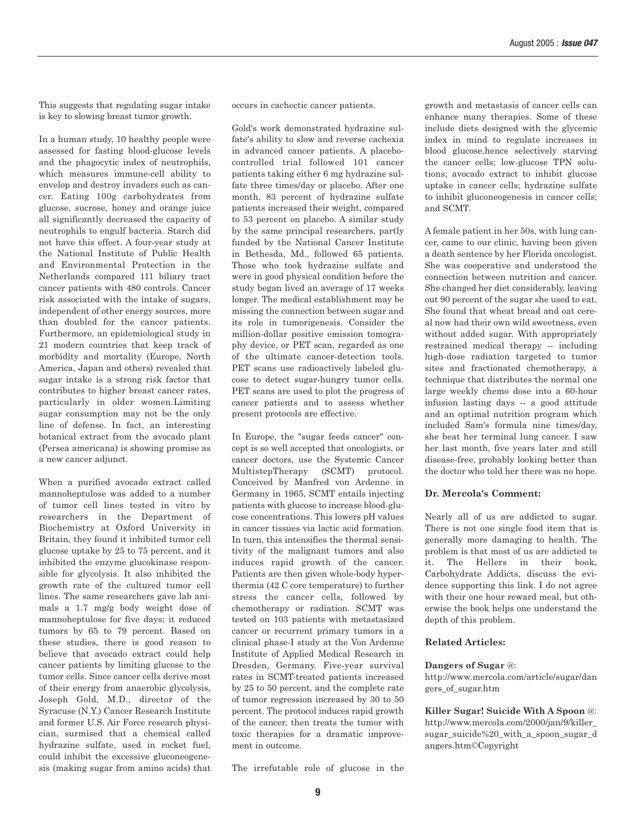This suggests that regulating sugar intake is key to slowing breast tumor growth.

In a human study, 10 healthy people were assessed for fasting blood-glucose levels and the phagocytic index of neutrophils, which measures immune-cell ability to envelop and destroy invaders such as cancer. Eating 100g carbohydrates from glucose, sucrose, honey and orange juice all significantly decreased the capacity of neutrophils to engulf bacteria. Starch did not have this effect. A four-year study at the National Institute of Public Health and Environmental Protection in the Netherlands compared 111 biliary tract cancer patients with 480 controls. Cancer risk associated with the intake of sugars, independent of other energy sources, more than doubled for the cancer patients. Furthermore, an epidemiological study in 21 modern countries that keep track of morbidity and mortality (Europe, North America, Japan and others) revealed that sugar intake is a strong risk factor that contributes to higher breast cancer rates, particularly in older women.Limiting sugar consumption may not be the only line of defense. In fact, an interesting botanical extract from the avocado plant (Persea americana) is showing promise as a new cancer adjunct.

When a purified avocado extract called mannoheptulose was added to a number of tumor cell lines tested in vitro by researchers in the Department of Biochemistry at Oxford University in Britain, they found it inhibited tumor cell glucose uptake by 25 to 75 percent, and it inhibited the enzyme glucokinase responsible for glycolysis. It also inhibited the growth rate of the cultured tumor cell lines. The same researchers gave lab animals a 1.7 mg/g body weight dose of mannoheptulose for five days; it reduced tumors by 65 to 79 percent. Based on these studies, there is good reason to believe that avocado extract could help cancer patients by limiting glucose to the tumor cells. Since cancer cells derive most of their energy from anaerobic glycolysis, Joseph Gold, M.D., director of the Syracuse (N.Y.) Cancer Research Institute and former U.S. Air Force research physician, surmised that a chemical called hydrazine sulfate, used in rocket fuel, could inhibit the excessive gluconeogenesis (making sugar from amino acids) that occurs in cachectic cancer patients.

Gold's work demonstrated hydrazine sulfate's ability to slow and reverse cachexia in advanced cancer patients. A placebocontrolled trial followed 101 cancer patients taking either 6 mg hydrazine sulfate three times/day or placebo. After one month, 83 percent of hydrazine sulfate patients increased their weight, compared to 53 percent on placebo. A similar study by the same principal researchers, partly funded by the National Cancer Institute in Bethesda, Md., followed 65 patients. Those who took hydrazine sulfate and were in good physical condition before the study began lived an average of 17 weeks longer. The medical establishment may be missing the connection between sugar and its role in tumorigenesis. Consider the million-dollar positive emission tomography device, or PET scan, regarded as one of the ultimate cancer-detection tools. PET scans use radioactively labeled glucose to detect sugar-hungry tumor cells. PET scans are used to plot the progress of cancer patients and to assess whether present protocols are effective.

In Europe, the "sugar feeds cancer" concept is so well accepted that oncologists, or cancer doctors, use the Systemic Cancer MultistepTherapy (SCMT) protocol. Conceived by Manfred von Ardenne in Germany in 1965, SCMT entails injecting patients with glucose to increase blood-glucose concentrations. This lowers pH values in cancer tissues via lactic acid formation. In turn, this intensifies the thermal sensitivity of the malignant tumors and also induces rapid growth of the cancer. Patients are then given whole-body hyperthermia (42 C core temperature) to further stress the cancer cells, followed by chemotherapy or radiation. SCMT was tested on 103 patients with metastasized cancer or recurrent primary tumors in a clinical phase-I study at the Von Ardenne Institute of Applied Medical Research in Dresden, Germany. Five-year survival rates in SCMT-treated patients increased by 25 to 50 percent, and the complete rate of tumor regression increased by 30 to 50 percent. The protocol induces rapid growth of the cancer, then treats the tumor with toxic therapies for a dramatic improvement in outcome.

growth and metastasis of cancer cells can enhance many therapies. Some of these include diets designed with the glycemic index in mind to regulate increases in blood glucose,hence selectively starving the cancer cells; low-glucose TPN solutions; avocado extract to inhibit glucose uptake in cancer cells; hydrazine sulfate to inhibit gluconeogenesis in cancer cells; and SCMT.

A female patient in her 50s, with lung cancer, came to our clinic, having been given a death sentence by her Florida oncologist. She was cooperative and understood the connection between nutrition and cancer. She changed her diet considerably, leaving out 90 percent of the sugar she used to eat. She found that wheat bread and oat cereal now had their own wild sweetness, even without added sugar. With appropriately restrained medical therapy -- including high-dose radiation targeted to tumor sites and fractionated chemotherapy, a technique that distributes the normal one large weekly chemo dose into a 60-hour infusion lasting days -- a good attitude and an optimal nutrition program which included Sam's formula nine times/day, she beat her terminal lung cancer. I saw her last month, five years later and still disease-free, probably looking better than the doctor who told her there was no hope.

#### **Dr. Mercola's Comment:**

Nearly all of us are addicted to sugar. There is not one single food item that is generally more damaging to health. The problem is that most of us are addicted to it. The Hellers in their book, Carbohydrate Addicts, discuss the evidence supporting this link. I do not agree with their one hour reward meal, but otherwise the book helps one understand the depth of this problem.

#### **Related Articles:**

#### **Dangers of Sugar** @:

http://www.mercola.com/article/sugar/dan gers\_of\_sugar.htm

**Killer Sugar! Suicide With A Spoon** @: http://www.mercola.com/2000/jan/9/killer\_ sugar\_suicide%20\_with\_a\_spoon\_sugar\_d angers.htm©Copyright

The irrefutable role of glucose in the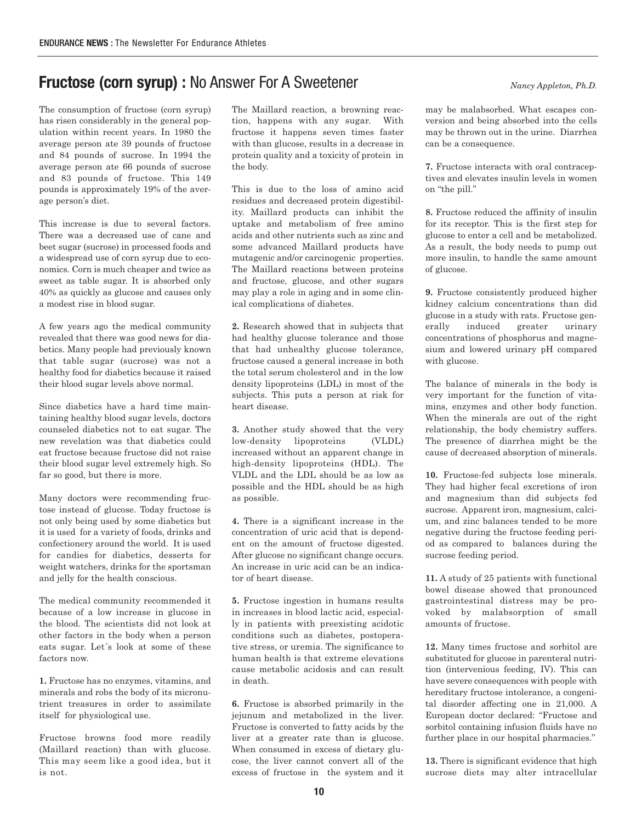## **Fructose (corn syrup) :** No Answer For A Sweetener

The consumption of fructose (corn syrup) has risen considerably in the general population within recent years. In 1980 the average person ate 39 pounds of fructose and 84 pounds of sucrose. In 1994 the average person ate 66 pounds of sucrose and 83 pounds of fructose. This 149 pounds is approximately 19% of the average person's diet.

This increase is due to several factors. There was a decreased use of cane and beet sugar (sucrose) in processed foods and a widespread use of corn syrup due to economics. Corn is much cheaper and twice as sweet as table sugar. It is absorbed only 40% as quickly as glucose and causes only a modest rise in blood sugar.

A few years ago the medical community revealed that there was good news for diabetics. Many people had previously known that table sugar (sucrose) was not a healthy food for diabetics because it raised their blood sugar levels above normal.

Since diabetics have a hard time maintaining healthy blood sugar levels, doctors counseled diabetics not to eat sugar. The new revelation was that diabetics could eat fructose because fructose did not raise their blood sugar level extremely high. So far so good, but there is more.

Many doctors were recommending fructose instead of glucose. Today fructose is not only being used by some diabetics but it is used for a variety of foods, drinks and confectionery around the world. It is used for candies for diabetics, desserts for weight watchers, drinks for the sportsman and jelly for the health conscious.

The medical community recommended it because of a low increase in glucose in the blood. The scientists did not look at other factors in the body when a person eats sugar. Let´s look at some of these factors now.

**1.** Fructose has no enzymes, vitamins, and minerals and robs the body of its micronutrient treasures in order to assimilate itself for physiological use.

Fructose browns food more readily (Maillard reaction) than with glucose. This may seem like a good idea, but it is not.

The Maillard reaction, a browning reaction, happens with any sugar. With fructose it happens seven times faster with than glucose, results in a decrease in protein quality and a toxicity of protein in the body.

This is due to the loss of amino acid residues and decreased protein digestibility. Maillard products can inhibit the uptake and metabolism of free amino acids and other nutrients such as zinc and some advanced Maillard products have mutagenic and/or carcinogenic properties. The Maillard reactions between proteins and fructose, glucose, and other sugars may play a role in aging and in some clinical complications of diabetes.

**2.** Research showed that in subjects that had healthy glucose tolerance and those that had unhealthy glucose tolerance, fructose caused a general increase in both the total serum cholesterol and in the low density lipoproteins (LDL) in most of the subjects. This puts a person at risk for heart disease.

**3.** Another study showed that the very low-density lipoproteins (VLDL) increased without an apparent change in high-density lipoproteins (HDL). The VLDL and the LDL should be as low as possible and the HDL should be as high as possible.

**4.** There is a significant increase in the concentration of uric acid that is dependent on the amount of fructose digested. After glucose no significant change occurs. An increase in uric acid can be an indicator of heart disease.

**5.** Fructose ingestion in humans results in increases in blood lactic acid, especially in patients with preexisting acidotic conditions such as diabetes, postoperative stress, or uremia. The significance to human health is that extreme elevations cause metabolic acidosis and can result in death.

**6.** Fructose is absorbed primarily in the jejunum and metabolized in the liver. Fructose is converted to fatty acids by the liver at a greater rate than is glucose. When consumed in excess of dietary glucose, the liver cannot convert all of the excess of fructose in the system and it *Nancy Appleton, Ph.D.*

may be malabsorbed. What escapes conversion and being absorbed into the cells may be thrown out in the urine. Diarrhea can be a consequence.

**7.** Fructose interacts with oral contraceptives and elevates insulin levels in women on "the pill."

**8.** Fructose reduced the affinity of insulin for its receptor. This is the first step for glucose to enter a cell and be metabolized. As a result, the body needs to pump out more insulin, to handle the same amount of glucose.

**9.** Fructose consistently produced higher kidney calcium concentrations than did glucose in a study with rats. Fructose generally induced greater urinary concentrations of phosphorus and magnesium and lowered urinary pH compared with glucose.

The balance of minerals in the body is very important for the function of vitamins, enzymes and other body function. When the minerals are out of the right relationship, the body chemistry suffers. The presence of diarrhea might be the cause of decreased absorption of minerals.

**10.** Fructose-fed subjects lose minerals. They had higher fecal excretions of iron and magnesium than did subjects fed sucrose. Apparent iron, magnesium, calcium, and zinc balances tended to be more negative during the fructose feeding period as compared to balances during the sucrose feeding period.

**11.** A study of 25 patients with functional bowel disease showed that pronounced gastrointestinal distress may be provoked by malabsorption of small amounts of fructose.

**12.** Many times fructose and sorbitol are substituted for glucose in parenteral nutrition (intervenious feeding, IV). This can have severe consequences with people with hereditary fructose intolerance, a congenital disorder affecting one in 21,000. A European doctor declared: "Fructose and sorbitol containing infusion fluids have no further place in our hospital pharmacies."

**13.** There is significant evidence that high sucrose diets may alter intracellular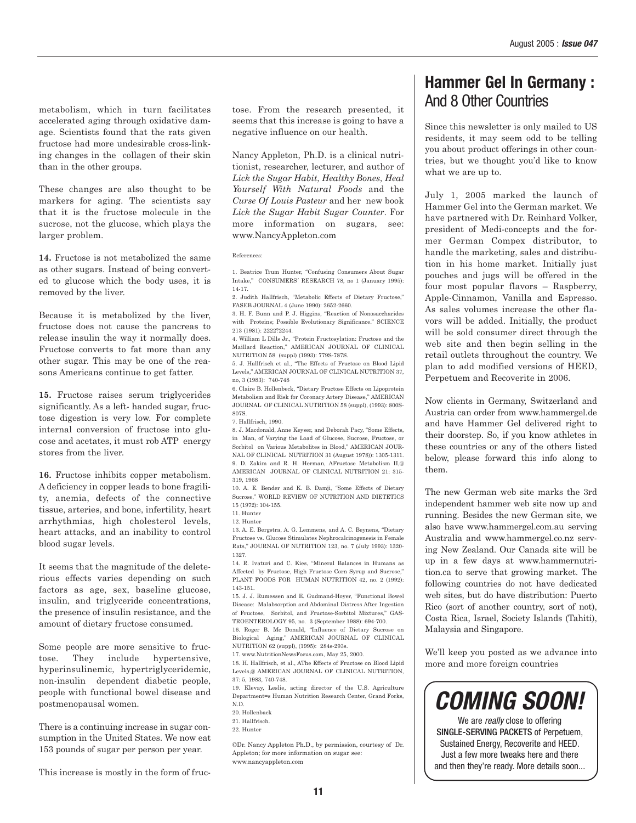metabolism, which in turn facilitates accelerated aging through oxidative damage. Scientists found that the rats given fructose had more undesirable cross-linking changes in the collagen of their skin than in the other groups.

These changes are also thought to be markers for aging. The scientists say that it is the fructose molecule in the sucrose, not the glucose, which plays the larger problem.

**14.** Fructose is not metabolized the same as other sugars. Instead of being converted to glucose which the body uses, it is removed by the liver.

Because it is metabolized by the liver, fructose does not cause the pancreas to release insulin the way it normally does. Fructose converts to fat more than any other sugar. This may be one of the reasons Americans continue to get fatter.

**15.** Fructose raises serum triglycerides significantly. As a left- handed sugar, fructose digestion is very low. For complete internal conversion of fructose into glucose and acetates, it must rob ATP energy stores from the liver.

**16.** Fructose inhibits copper metabolism. A deficiency in copper leads to bone fragility, anemia, defects of the connective tissue, arteries, and bone, infertility, heart arrhythmias, high cholesterol levels, heart attacks, and an inability to control blood sugar levels.

It seems that the magnitude of the deleterious effects varies depending on such factors as age, sex, baseline glucose, insulin, and triglyceride concentrations, the presence of insulin resistance, and the amount of dietary fructose consumed.

Some people are more sensitive to fructose. They include hypertensive, hyperinsulinemic, hypertriglyceridemic, non-insulin dependent diabetic people, people with functional bowel disease and postmenopausal women.

There is a continuing increase in sugar consumption in the United States. We now eat 153 pounds of sugar per person per year.

This increase is mostly in the form of fruc-

tose. From the research presented, it seems that this increase is going to have a negative influence on our health.

Nancy Appleton, Ph.D. is a clinical nutritionist, researcher, lecturer, and author of *Lick the Sugar Habit*, *Healthy Bones*, *Heal Yourself With Natural Foods* and the *Curse Of Louis Pasteur* and her new book *Lick the Sugar Habit Sugar Counter*. For more information on sugars, see: www.NancyAppleton.com

References:

1. Beatrice Trum Hunter, "Confusing Consumers About Sugar Intake," CONSUMERS´ RESEARCH 78, no 1 (January 1995): 14-17.

2. Judith Hallfrisch, "Metabolic Effects of Dietary Fructose," FASEB JOURNAL 4 (June 1990): 2652-2660.

3. H. F. Bunn and P. J. Higgins, "Reaction of Nonosaccharides with Proteins; Possible Evolutionary Significance." SCIENCE 213 (1981): 2222?2244.

4. William L Dills Jr., "Protein Fructosylation: Fructose and the Maillard Reaction," AMERICAN JOURNAL OF CLINICAL NUTRITION 58 (suppl) (1993): 779S-787S.

5. J. Hallfrisch et al., "The Effects of Fructose on Blood Lipid Levels," AMERICAN JOURNAL OF CLINICAL NUTRITION 37, no, 3 (1983): 740-748

6. Claire B. Hollenbeck, "Dietary Fructose Effects on Lipoprotein Metabolism and Risk for Coronary Artery Disease," AMERICAN JOURNAL OF CLINICAL NUTRITION 58 (suppl), (1993): 800S-807S.

7. Hallfrisch, 1990.

8. J. Macdonald, Anne Keyser, and Deborah Pacy, "Some Effects, in Man, of Varying the Load of Glucose, Sucrose, Fructose, or Sorbitol on Various Metabolites in Blood," AMERICAN JOUR-NAL OF CLINICAL NUTRITION 31 (August 1978)): 1305-1311. 9. D. Zakim and R. H. Herman, AFructose Metabolism II,@ AMERICAN JOURNAL OF CLINICAL NUTRITION 21: 315- 319, 1968

10. A. E. Bender and K. B. Damji, "Some Effects of Dietary Sucrose," WORLD REVIEW OF NUTRITION AND DIETETICS 15 (1972): 104-155.

11. Hunter 12. Hunter

13. A. E. Bergstra, A. G. Lemmens, and A. C. Beynens, "Dietary

Fructose vs. Glucose Stimulates Nephrocalcinogenesis in Female Rats," JOURNAL OF NUTRITION 123, no. 7 (July 1993): 1320- 1327.

14. R. Ivaturi and C. Kies, "Mineral Balances in Humans as Affected by Fructose, High Fructose Corn Syrup and Sucrose, PLANT FOODS FOR HUMAN NUTRITION 42, no. 2 (1992): 143-151.

15. J. J. Rumessen and E. Gudmand-Hoyer, "Functional Bowel Disease: Malabsorption and Abdominal Distress After Ingestion of Fructose, Sorbitol, and Fructose-Sorbitol Mixtures," GAS-TROENTEROLOGY 95, no. 3 (September 1988): 694-700.

16. Roger B. Mc Donald, "Influence of Dietary Sucrose on Biological Aging," AMERICAN JOURNAL OF CLINICAL NUTRITION 62 (suppl), (1995): 284s-293s.

17. www.NutritionNewsFocus.com, May 25, 2000.

18. H. Hallfrisch, et al., AThe Effects of Fructose on Blood Lipid Levels,@ AMERICAN JOURNAL OF CLINICAL NUTRITION, 37: 5, 1983, 740-748.

19. Klevay, Leslie, acting director of the U.S. Agriculture Department=s Human Nutrition Research Center, Grand Forks, N.D.

20. Hollenback

- 21. Hallfrisch.
- 22. Hunter

©Dr. Nancy Appleton Ph.D., by permission, courtesy of Dr. Appleton; for more information on sugar see: www.nancyappleton.com

## **Hammer Gel In Germany :**  And 8 Other Countries

Since this newsletter is only mailed to US residents, it may seem odd to be telling you about product offerings in other countries, but we thought you'd like to know what we are up to.

July 1, 2005 marked the launch of Hammer Gel into the German market. We have partnered with Dr. Reinhard Volker, president of Medi-concepts and the former German Compex distributor, to handle the marketing, sales and distribution in his home market. Initially just pouches and jugs will be offered in the four most popular flavors – Raspberry, Apple-Cinnamon, Vanilla and Espresso. As sales volumes increase the other flavors will be added. Initially, the product will be sold consumer direct through the web site and then begin selling in the retail outlets throughout the country. We plan to add modified versions of HEED, Perpetuem and Recoverite in 2006.

Now clients in Germany, Switzerland and Austria can order from www.hammergel.de and have Hammer Gel delivered right to their doorstep. So, if you know athletes in these countries or any of the others listed below, please forward this info along to them.

The new German web site marks the 3rd independent hammer web site now up and running. Besides the new German site, we also have www.hammergel.com.au serving Australia and www.hammergel.co.nz serving New Zealand. Our Canada site will be up in a few days at www.hammernutrition.ca to serve that growing market. The following countries do not have dedicated web sites, but do have distribution: Puerto Rico (sort of another country, sort of not), Costa Rica, Israel, Society Islands (Tahiti), Malaysia and Singapore.

We'll keep you posted as we advance into more and more foreign countries

**COMING SOON!**

We are really close to offering SINGLE-SERVING PACKETS of Perpetuem, Sustained Energy, Recoverite and HEED. Just a few more tweaks here and there and then they're ready. More details soon...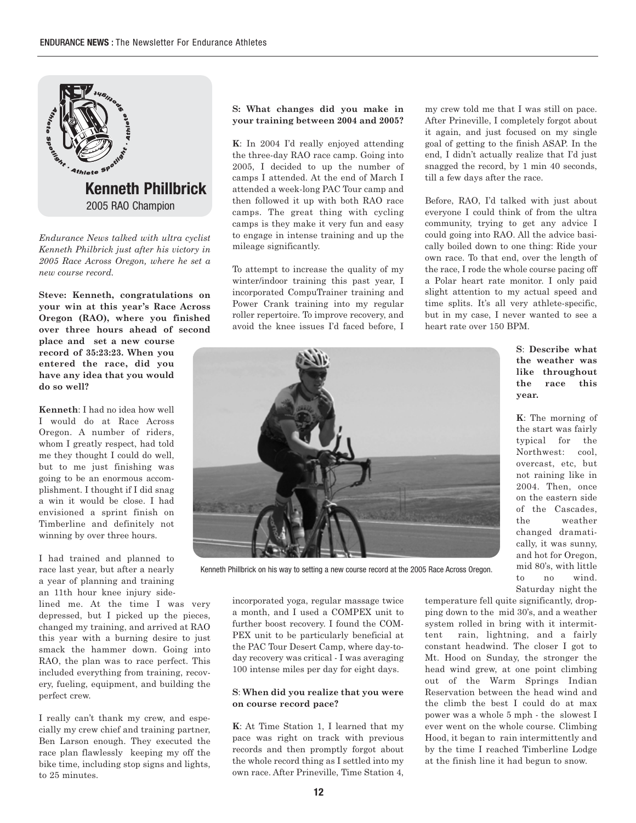

*Endurance News talked with ultra cyclist Kenneth Philbrick just after his victory in 2005 Race Across Oregon, where he set a new course record.*

**Steve: Kenneth, congratulations on your win at this year's Race Across Oregon (RAO), where you finished over three hours ahead of second**

**place and set a new course record of 35:23:23. When you entered the race, did you have any idea that you would do so well?** 

**Kenneth**: I had no idea how well I would do at Race Across Oregon. A number of riders, whom I greatly respect, had told me they thought I could do well, but to me just finishing was going to be an enormous accomplishment. I thought if I did snag a win it would be close. I had envisioned a sprint finish on Timberline and definitely not winning by over three hours.

I had trained and planned to race last year, but after a nearly a year of planning and training an 11th hour knee injury side-

lined me. At the time I was very depressed, but I picked up the pieces, changed my training, and arrived at RAO this year with a burning desire to just smack the hammer down. Going into RAO, the plan was to race perfect. This included everything from training, recovery, fueling, equipment, and building the perfect crew.

I really can't thank my crew, and especially my crew chief and training partner, Ben Larson enough. They executed the race plan flawlessly keeping my off the bike time, including stop signs and lights, to 25 minutes.

#### **S: What changes did you make in your training between 2004 and 2005?**

**K**: In 2004 I'd really enjoyed attending the three-day RAO race camp. Going into 2005, I decided to up the number of camps I attended. At the end of March I attended a week-long PAC Tour camp and then followed it up with both RAO race camps. The great thing with cycling camps is they make it very fun and easy to engage in intense training and up the mileage significantly.

To attempt to increase the quality of my winter/indoor training this past year, I incorporated CompuTrainer training and Power Crank training into my regular roller repertoire. To improve recovery, and avoid the knee issues I'd faced before, I my crew told me that I was still on pace. After Prineville, I completely forgot about it again, and just focused on my single goal of getting to the finish ASAP. In the end, I didn't actually realize that I'd just snagged the record, by 1 min 40 seconds, till a few days after the race.

Before, RAO, I'd talked with just about everyone I could think of from the ultra community, trying to get any advice I could going into RAO. All the advice basically boiled down to one thing: Ride your own race. To that end, over the length of the race, I rode the whole course pacing off a Polar heart rate monitor. I only paid slight attention to my actual speed and time splits. It's all very athlete-specific, but in my case, I never wanted to see a heart rate over 150 BPM.

> **S**: **Describe what the weather was like throughout the race this year.**

**K**: The morning of the start was fairly typical for the Northwest: cool, overcast, etc, but not raining like in 2004. Then, once on the eastern side of the Cascades, the weather changed dramatically, it was sunny, and hot for Oregon, mid 80's, with little to no wind. Saturday night the

Kenneth Phillbrick on his way to setting a new course record at the 2005 Race Across Oregon.

incorporated yoga, regular massage twice a month, and I used a COMPEX unit to further boost recovery. I found the COM-PEX unit to be particularly beneficial at the PAC Tour Desert Camp, where day-today recovery was critical - I was averaging 100 intense miles per day for eight days.

#### **S**: **When did you realize that you were on course record pace?**

**K**: At Time Station 1, I learned that my pace was right on track with previous records and then promptly forgot about the whole record thing as I settled into my own race. After Prineville, Time Station 4, temperature fell quite significantly, dropping down to the mid 30's, and a weather system rolled in bring with it intermittent rain, lightning, and a fairly constant headwind. The closer I got to Mt. Hood on Sunday, the stronger the head wind grew, at one point climbing out of the Warm Springs Indian Reservation between the head wind and the climb the best I could do at max power was a whole 5 mph - the slowest I ever went on the whole course. Climbing Hood, it began to rain intermittently and by the time I reached Timberline Lodge at the finish line it had begun to snow.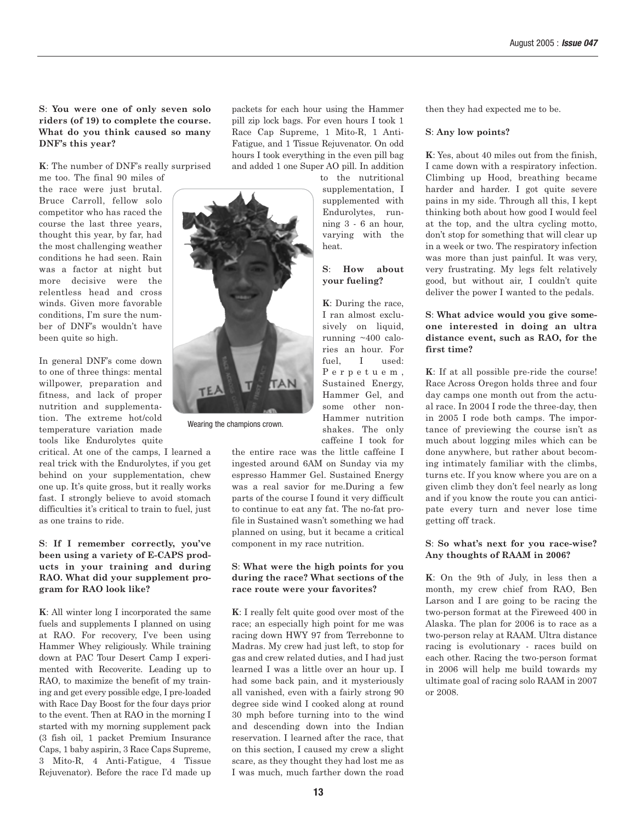**S**: **You were one of only seven solo riders (of 19) to complete the course. What do you think caused so many DNF's this year?** 

**K**: The number of DNF's really surprised

me too. The final 90 miles of the race were just brutal. Bruce Carroll, fellow solo competitor who has raced the course the last three years, thought this year, by far, had the most challenging weather conditions he had seen. Rain was a factor at night but more decisive were the relentless head and cross winds. Given more favorable conditions, I'm sure the number of DNF's wouldn't have been quite so high.

In general DNF's come down to one of three things: mental willpower, preparation and fitness, and lack of proper nutrition and supplementation. The extreme hot/cold temperature variation made tools like Endurolytes quite

critical. At one of the camps, I learned a real trick with the Endurolytes, if you get behind on your supplementation, chew one up. It's quite gross, but it really works fast. I strongly believe to avoid stomach difficulties it's critical to train to fuel, just as one trains to ride.

#### **S**: **If I remember correctly, you've been using a variety of E-CAPS products in your training and during RAO. What did your supplement program for RAO look like?**

**K**: All winter long I incorporated the same fuels and supplements I planned on using at RAO. For recovery, I've been using Hammer Whey religiously. While training down at PAC Tour Desert Camp I experimented with Recoverite. Leading up to RAO, to maximize the benefit of my training and get every possible edge, I pre-loaded with Race Day Boost for the four days prior to the event. Then at RAO in the morning I started with my morning supplement pack (3 fish oil, 1 packet Premium Insurance Caps, 1 baby aspirin, 3 Race Caps Supreme, 3 Mito-R, 4 Anti-Fatigue, 4 Tissue Rejuvenator). Before the race I'd made up packets for each hour using the Hammer pill zip lock bags. For even hours I took 1 Race Cap Supreme, 1 Mito-R, 1 Anti-Fatigue, and 1 Tissue Rejuvenator. On odd hours I took everything in the even pill bag and added 1 one Super AO pill. In addition

to the nutritional supplementation, I supplemented with Endurolytes, running 3 - 6 an hour, varying with the heat.

#### **S**: **How about your fueling?**

**K**: During the race, I ran almost exclusively on liquid, running ~400 calories an hour. For fuel, I used: Perpetuem, Sustained Energy, Hammer Gel, and some other non-Hammer nutrition shakes. The only caffeine I took for

Wearing the champions crown.

the entire race was the little caffeine I ingested around 6AM on Sunday via my espresso Hammer Gel. Sustained Energy was a real savior for me.During a few parts of the course I found it very difficult to continue to eat any fat. The no-fat profile in Sustained wasn't something we had planned on using, but it became a critical component in my race nutrition.

#### **S**: **What were the high points for you during the race? What sections of the race route were your favorites?**

**K**: I really felt quite good over most of the race; an especially high point for me was racing down HWY 97 from Terrebonne to Madras. My crew had just left, to stop for gas and crew related duties, and I had just learned I was a little over an hour up. I had some back pain, and it mysteriously all vanished, even with a fairly strong 90 degree side wind I cooked along at round 30 mph before turning into to the wind and descending down into the Indian reservation. I learned after the race, that on this section, I caused my crew a slight scare, as they thought they had lost me as I was much, much farther down the road then they had expected me to be.

#### **S**: **Any low points?**

**K**: Yes, about 40 miles out from the finish, I came down with a respiratory infection. Climbing up Hood, breathing became harder and harder. I got quite severe pains in my side. Through all this, I kept thinking both about how good I would feel at the top, and the ultra cycling motto, don't stop for something that will clear up in a week or two. The respiratory infection was more than just painful. It was very, very frustrating. My legs felt relatively good, but without air, I couldn't quite deliver the power I wanted to the pedals.

#### **S**: **What advice would you give someone interested in doing an ultra distance event, such as RAO, for the first time?**

**K**: If at all possible pre-ride the course! Race Across Oregon holds three and four day camps one month out from the actual race. In 2004 I rode the three-day, then in 2005 I rode both camps. The importance of previewing the course isn't as much about logging miles which can be done anywhere, but rather about becoming intimately familiar with the climbs, turns etc. If you know where you are on a given climb they don't feel nearly as long and if you know the route you can anticipate every turn and never lose time getting off track.

#### **S**: **So what's next for you race-wise? Any thoughts of RAAM in 2006?**

**K**: On the 9th of July, in less then a month, my crew chief from RAO, Ben Larson and I are going to be racing the two-person format at the Fireweed 400 in Alaska. The plan for 2006 is to race as a two-person relay at RAAM. Ultra distance racing is evolutionary - races build on each other. Racing the two-person format in 2006 will help me build towards my ultimate goal of racing solo RAAM in 2007 or 2008.

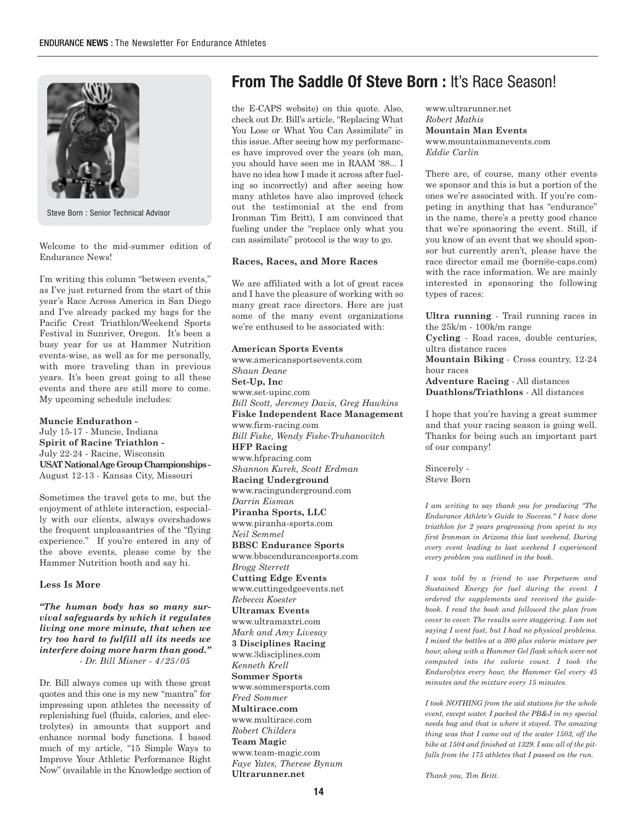

Steve Born : Senior Technical Advisor

Welcome to the mid-summer edition of Endurance News!

I'm writing this column "between events," as I've just returned from the start of this year's Race Across America in San Diego and I've already packed my bags for the Pacific Crest Triathlon/Weekend Sports Festival in Sunriver, Oregon. It's been a busy year for us at Hammer Nutrition events-wise, as well as for me personally, with more traveling than in previous years. It's been great going to all these events and there are still more to come. My upcoming schedule includes:

**Muncie Endurathon -**  July 15-17 - Muncie, Indiana **Spirit of Racine Triathlon -**  July 22-24 - Racine, Wisconsin **USAT National Age Group Championships -**  August 12-13 - Kansas City, Missouri

Sometimes the travel gets to me, but the enjoyment of athlete interaction, especially with our clients, always overshadows the frequent unpleasantries of the "flying experience." If you're entered in any of the above events, please come by the Hammer Nutrition booth and say hi.

#### **Less Is More**

*"The human body has so many survival safeguards by which it regulates living one more minute, that when we try too hard to fulfill all its needs we interfere doing more harm than good." - Dr. Bill Misner - 4/25/05*

Dr. Bill always comes up with these great quotes and this one is my new "mantra" for impressing upon athletes the necessity of replenishing fuel (fluids, calories, and electrolytes) in amounts that support and enhance normal body functions. I based much of my article, "15 Simple Ways to Improve Your Athletic Performance Right Now" (available in the Knowledge section of

## **From The Saddle Of Steve Born: It's Race Season!**

the E-CAPS website) on this quote. Also, check out Dr. Bill's article, "Replacing What You Lose or What You Can Assimilate" in this issue. After seeing how my performances have improved over the years (oh man, you should have seen me in RAAM '88... I have no idea how I made it across after fueling so incorrectly) and after seeing how many athletes have also improved (check out the testimonial at the end from Ironman Tim Britt), I am convinced that fueling under the "replace only what you can assimilate" protocol is the way to go.

#### **Races, Races, and More Races**

We are affiliated with a lot of great races and I have the pleasure of working with so many great race directors. Here are just some of the many event organizations we're enthused to be associated with:

**American Sports Events** www.americansportsevents.com *Shaun Deane* **Set-Up, Inc** www.set-upinc.com *Bill Scott, Jeremey Davis, Greg Hawkins* **Fiske Independent Race Management** www.firm-racing.com *Bill Fiske, Wendy Fiske-Truhanovitch* **HFP Racing** www.hfpracing.com *Shannon Kurek, Scott Erdman* **Racing Underground** www.racingunderground.com *Darrin Eisman* **Piranha Sports, LLC** www.piranha-sports.com *Neil Semmel* **BBSC Endurance Sports** www.bbscendurancesports.com *Brogg Sterrett* **Cutting Edge Events** www.cuttingedgeevents.net *Rebecca Koester* **Ultramax Events** www.ultramaxtri.com *Mark and Amy Livesay* **3 Disciplines Racing**  www.3disciplines.com *Kenneth Krell*  **Sommer Sports** www.sommersports.com *Fred Sommer* **Multirace.com** www.multirace.com *Robert Childers* **Team Magic** www.team-magic.com *Faye Yates, Therese Bynum*

www.ultrarunner.net *Robert Mathis* **Mountain Man Events** www.mountainmanevents.com *Eddie Carlin*

There are, of course, many other events we sponsor and this is but a portion of the ones we're associated with. If you're competing in anything that has "endurance" in the name, there's a pretty good chance that we're sponsoring the event. Still, if you know of an event that we should sponsor but currently aren't, please have the race director email me (born@e-caps.com) with the race information. We are mainly interested in sponsoring the following types of races:

**Ultra running** - Trail running races in the 25k/m - 100k/m range **Cycling** - Road races, double centuries, ultra distance races **Mountain Biking** - Cross country, 12-24 hour races **Adventure Racing** - All distances **Duathlons/Triathlons** - All distances

I hope that you're having a great summer and that your racing season is going well. Thanks for being such an important part of our company!

Sincerely - Steve Born

*I am writing to say thank you for producing "The Endurance Athlete's Guide to Success." I have done triathlon for 2 years progressing from sprint to my first Ironman in Arizona this last weekend. During every event leading to last weekend I experienced every problem you outlined in the book.*

*I was told by a friend to use Perpetuem and Sustained Energy for fuel during the event. I ordered the supplements and received the guidebook. I read the book and followed the plan from cover to cover. The results were staggering. I am not saying I went fast, but I had no physical problems. I mixed the bottles at a 300 plus calorie mixture per hour, along with a Hammer Gel flask which were not computed into the calorie count. I took the Endurolytes every hour, the Hammer Gel every 45 minutes and the mixture every 15 minutes.*

*I took NOTHING from the aid stations for the whole event, except water. I packed the PB&J in my special needs bag and that is where it stayed. The amazing thing was that I came out of the water 1503, off the bike at 1504 and finished at 1329. I saw all of the pitfalls from the 175 athletes that I passed on the run.*

*Thank you, Tim Britt.*

**Ultrarunner.net**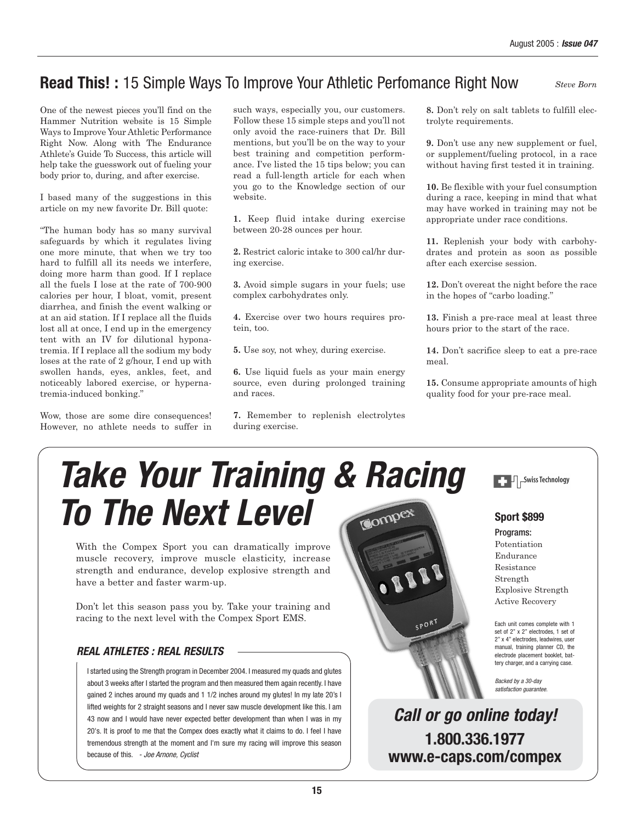## **Read This! :** 15 Simple Ways To Improve Your Athletic Perfomance Right Now

*Steve Born*

One of the newest pieces you'll find on the Hammer Nutrition website is 15 Simple Ways to Improve Your Athletic Performance Right Now. Along with The Endurance Athlete's Guide To Success, this article will help take the guesswork out of fueling your body prior to, during, and after exercise.

I based many of the suggestions in this article on my new favorite Dr. Bill quote:

"The human body has so many survival safeguards by which it regulates living one more minute, that when we try too hard to fulfill all its needs we interfere, doing more harm than good. If I replace all the fuels I lose at the rate of 700-900 calories per hour, I bloat, vomit, present diarrhea, and finish the event walking or at an aid station. If I replace all the fluids lost all at once, I end up in the emergency tent with an IV for dilutional hyponatremia. If I replace all the sodium my body loses at the rate of 2 g/hour, I end up with swollen hands, eyes, ankles, feet, and noticeably labored exercise, or hypernatremia-induced bonking."

Wow, those are some dire consequences! However, no athlete needs to suffer in such ways, especially you, our customers. Follow these 15 simple steps and you'll not only avoid the race-ruiners that Dr. Bill mentions, but you'll be on the way to your best training and competition performance. I've listed the 15 tips below; you can read a full-length article for each when you go to the Knowledge section of our website.

**1.** Keep fluid intake during exercise between 20-28 ounces per hour.

**2.** Restrict caloric intake to 300 cal/hr during exercise.

**3.** Avoid simple sugars in your fuels; use complex carbohydrates only.

**4.** Exercise over two hours requires protein, too.

**5.** Use soy, not whey, during exercise.

**6.** Use liquid fuels as your main energy source, even during prolonged training and races.

**7.** Remember to replenish electrolytes during exercise.

**8.** Don't rely on salt tablets to fulfill electrolyte requirements.

**9.** Don't use any new supplement or fuel, or supplement/fueling protocol, in a race without having first tested it in training.

**10.** Be flexible with your fuel consumption during a race, keeping in mind that what may have worked in training may not be appropriate under race conditions.

**11.** Replenish your body with carbohydrates and protein as soon as possible after each exercise session.

**12.** Don't overeat the night before the race in the hopes of "carbo loading."

**13.** Finish a pre-race meal at least three hours prior to the start of the race.

**14.** Don't sacrifice sleep to eat a pre-race meal.

**15.** Consume appropriate amounts of high quality food for your pre-race meal.

# **Take Your Training & Racing To The Next Level**

With the Compex Sport you can dramatically improve muscle recovery, improve muscle elasticity, increase strength and endurance, develop explosive strength and have a better and faster warm-up.

Don't let this season pass you by. Take your training and racing to the next level with the Compex Sport EMS. Each unit comes complete with 1

#### **REAL ATHLETES : REAL RESULTS**

I started using the Strength program in December 2004. I measured my quads and glutes about 3 weeks after I started the program and then measured them again recently. I have gained 2 inches around my quads and 1 1/2 inches around my glutes! In my late 20's I lifted weights for 2 straight seasons and I never saw muscle development like this. I am 43 now and I would have never expected better development than when I was in my 20's. It is proof to me that the Compex does exactly what it claims to do. I feel I have tremendous strength at the moment and I'm sure my racing will improve this season because of this. - Joe Arnone, Cyclist



**1.800.336.1977 www.e-caps.com/compex Call or go online today!**

**Sport \$899**

 $\Box$   $\Box$  Swiss Technology

## Programs:

Potentiation Endurance Resistance Strength Explosive Strength Active Recovery

set of 2" x 2" electrodes, 1 set of 2" x 4" electrodes, leadwires, user manual, training planner CD, the electrode placement booklet, battery charger, and a carrying case.

Backed by a 30-day satisfaction guarantee.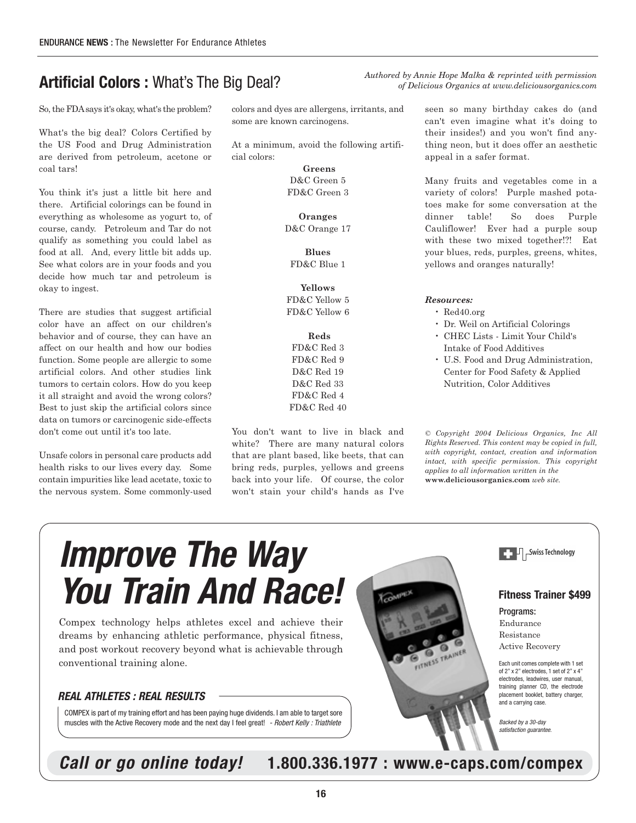## **Artificial Colors :** What's The Big Deal?

So, the FDAsays it's okay, what's the problem?

What's the big deal? Colors Certified by the US Food and Drug Administration are derived from petroleum, acetone or coal tars!

You think it's just a little bit here and there. Artificial colorings can be found in everything as wholesome as yogurt to, of course, candy. Petroleum and Tar do not qualify as something you could label as food at all. And, every little bit adds up. See what colors are in your foods and you decide how much tar and petroleum is okay to ingest.

There are studies that suggest artificial color have an affect on our children's behavior and of course, they can have an affect on our health and how our bodies function. Some people are allergic to some artificial colors. And other studies link tumors to certain colors. How do you keep it all straight and avoid the wrong colors? Best to just skip the artificial colors since data on tumors or carcinogenic side-effects don't come out until it's too late.

Unsafe colors in personal care products add health risks to our lives every day. Some contain impurities like lead acetate, toxic to the nervous system. Some commonly-used colors and dyes are allergens, irritants, and some are known carcinogens.

At a minimum, avoid the following artificial colors:

> **Greens** D&C Green 5 FD&C Green 3

**Oranges** D&C Orange 17

**Blues** FD&C Blue 1

**Yellows** FD&C Yellow 5 FD&C Yellow 6

**Reds** FD&C Red 3 FD&C Red 9 D&C Red 19 D&C Red 33 FD&C Red 4 FD&C Red 40

You don't want to live in black and white? There are many natural colors that are plant based, like beets, that can bring reds, purples, yellows and greens back into your life. Of course, the color won't stain your child's hands as I've

seen so many birthday cakes do (and can't even imagine what it's doing to their insides!) and you won't find anything neon, but it does offer an aesthetic appeal in a safer format.

*Authored by Annie Hope Malka & reprinted with permission of Delicious Organics at www.deliciousorganics.com*

> Many fruits and vegetables come in a variety of colors! Purple mashed potatoes make for some conversation at the dinner table! So does Purple Cauliflower! Ever had a purple soup with these two mixed together!?! Eat your blues, reds, purples, greens, whites, yellows and oranges naturally!

#### *Resources:*

- Red40.org
- Dr. Weil on Artificial Colorings
- CHEC Lists Limit Your Child's Intake of Food Additives
- U.S. Food and Drug Administration, Center for Food Safety & Applied Nutrition, Color Additives

*© Copyright 2004 Delicious Organics, Inc All Rights Reserved. This content may be copied in full, with copyright, contact, creation and information intact, with specific permission. This copyright applies to all information written in the* **www.deliciousorganics.com** *web site.*

# **Improve The Way You Train And Race!**

Compex technology helps athletes excel and achieve their dreams by enhancing athletic performance, physical fitness, and post workout recovery beyond what is achievable through conventional training alone.

#### **REAL ATHLETES : REAL RESULTS**

COMPEX is part of my training effort and has been paying huge dividends. I am able to target sore muscles with the Active Recovery mode and the next day I feel great! - Robert Kelly : Triathlete





#### **Fitness Trainer \$499**

Programs: Endurance Resistance Active Recovery

Each unit comes complete with 1 set of 2" x 2" electrodes, 1 set of 2" x 4" electrodes, leadwires, user manual, training planner CD, the electrode placement booklet, battery charger, .<br>and a carrving case.

Backed by a 30-day satisfaction guarantee

**Call or go online today! 1.800.336.1977 : www.e-caps.com/compex**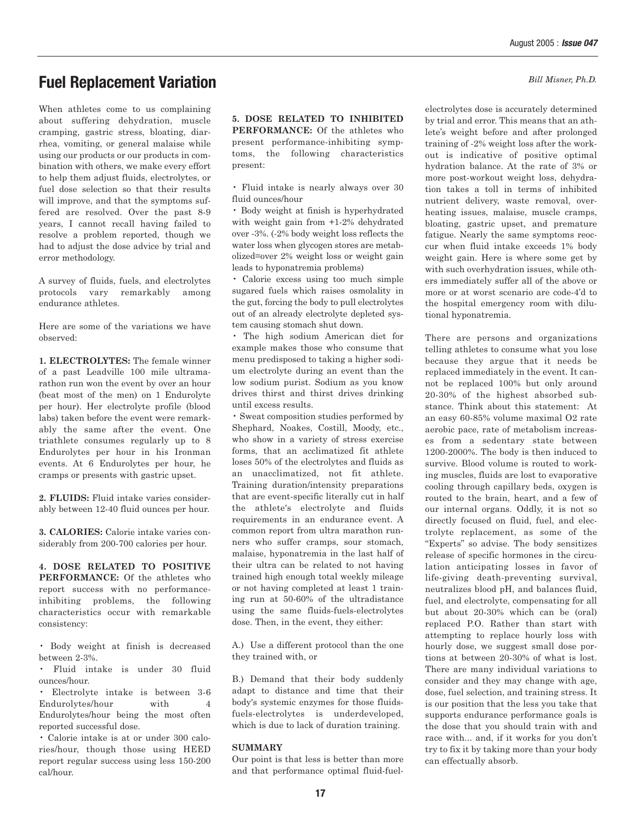*Bill Misner, Ph.D.*

### **Fuel Replacement Variation**

When athletes come to us complaining about suffering dehydration, muscle cramping, gastric stress, bloating, diarrhea, vomiting, or general malaise while using our products or our products in combination with others, we make every effort to help them adjust fluids, electrolytes, or fuel dose selection so that their results will improve, and that the symptoms suffered are resolved. Over the past 8-9 years, I cannot recall having failed to resolve a problem reported, though we had to adjust the dose advice by trial and error methodology.

A survey of fluids, fuels, and electrolytes protocols vary remarkably among endurance athletes.

Here are some of the variations we have observed:

**1. ELECTROLYTES:** The female winner of a past Leadville 100 mile ultramarathon run won the event by over an hour (beat most of the men) on 1 Endurolyte per hour). Her electrolyte profile (blood labs) taken before the event were remarkably the same after the event. One triathlete consumes regularly up to 8 Endurolytes per hour in his Ironman events. At 6 Endurolytes per hour, he cramps or presents with gastric upset.

**2. FLUIDS:** Fluid intake varies considerably between 12-40 fluid ounces per hour.

**3. CALORIES:** Calorie intake varies considerably from 200-700 calories per hour.

**4. DOSE RELATED TO POSITIVE PERFORMANCE:** Of the athletes who report success with no performanceinhibiting problems, the following characteristics occur with remarkable consistency:

• Body weight at finish is decreased between 2-3%.

• Fluid intake is under 30 fluid ounces/hour.

• Electrolyte intake is between 3-6 Endurolytes/hour with 4 Endurolytes/hour being the most often reported successful dose.

• Calorie intake is at or under 300 calories/hour, though those using HEED report regular success using less 150-200 cal/hour.

**5. DOSE RELATED TO INHIBITED PERFORMANCE:** Of the athletes who present performance-inhibiting symptoms, the following characteristics present:

• Fluid intake is nearly always over 30 fluid ounces/hour

• Body weight at finish is hyperhydrated with weight gain from +1-2% dehydrated over -3%. (-2% body weight loss reflects the water loss when glycogen stores are metabolized=over 2% weight loss or weight gain leads to hyponatremia problems)

• Calorie excess using too much simple sugared fuels which raises osmolality in the gut, forcing the body to pull electrolytes out of an already electrolyte depleted system causing stomach shut down.

• The high sodium American diet for example makes those who consume that menu predisposed to taking a higher sodium electrolyte during an event than the low sodium purist. Sodium as you know drives thirst and thirst drives drinking until excess results.

• Sweat composition studies performed by Shephard, Noakes, Costill, Moody, etc., who show in a variety of stress exercise forms, that an acclimatized fit athlete loses 50% of the electrolytes and fluids as an unacclimatized, not fit athlete. Training duration/intensity preparations that are event-specific literally cut in half the athlete's electrolyte and fluids requirements in an endurance event. A common report from ultra marathon runners who suffer cramps, sour stomach, malaise, hyponatremia in the last half of their ultra can be related to not having trained high enough total weekly mileage or not having completed at least 1 training run at 50-60% of the ultradistance using the same fluids-fuels-electrolytes dose. Then, in the event, they either:

A.) Use a different protocol than the one they trained with, or

B.) Demand that their body suddenly adapt to distance and time that their body's systemic enzymes for those fluidsfuels-electrolytes is underdeveloped, which is due to lack of duration training.

#### **SUMMARY**

Our point is that less is better than more and that performance optimal fluid-fuel-

electrolytes dose is accurately determined by trial and error. This means that an athlete's weight before and after prolonged training of -2% weight loss after the workout is indicative of positive optimal hydration balance. At the rate of 3% or more post-workout weight loss, dehydration takes a toll in terms of inhibited nutrient delivery, waste removal, overheating issues, malaise, muscle cramps, bloating, gastric upset, and premature fatigue. Nearly the same symptoms reoccur when fluid intake exceeds 1% body weight gain. Here is where some get by with such overhydration issues, while others immediately suffer all of the above or more or at worst scenario are code-4'd to the hospital emergency room with dilutional hyponatremia.

There are persons and organizations telling athletes to consume what you lose because they argue that it needs be replaced immediately in the event. It cannot be replaced 100% but only around 20-30% of the highest absorbed substance. Think about this statement: At an easy 60-85% volume maximal O2 rate aerobic pace, rate of metabolism increases from a sedentary state between 1200-2000%. The body is then induced to survive. Blood volume is routed to working muscles, fluids are lost to evaporative cooling through capillary beds, oxygen is routed to the brain, heart, and a few of our internal organs. Oddly, it is not so directly focused on fluid, fuel, and electrolyte replacement, as some of the "Experts" so advise. The body sensitizes release of specific hormones in the circulation anticipating losses in favor of life-giving death-preventing survival, neutralizes blood pH, and balances fluid, fuel, and electrolyte, compensating for all but about 20-30% which can be (oral) replaced P.O. Rather than start with attempting to replace hourly loss with hourly dose, we suggest small dose portions at between 20-30% of what is lost. There are many individual variations to consider and they may change with age, dose, fuel selection, and training stress. It is our position that the less you take that supports endurance performance goals is the dose that you should train with and race with... and, if it works for you don't try to fix it by taking more than your body can effectually absorb.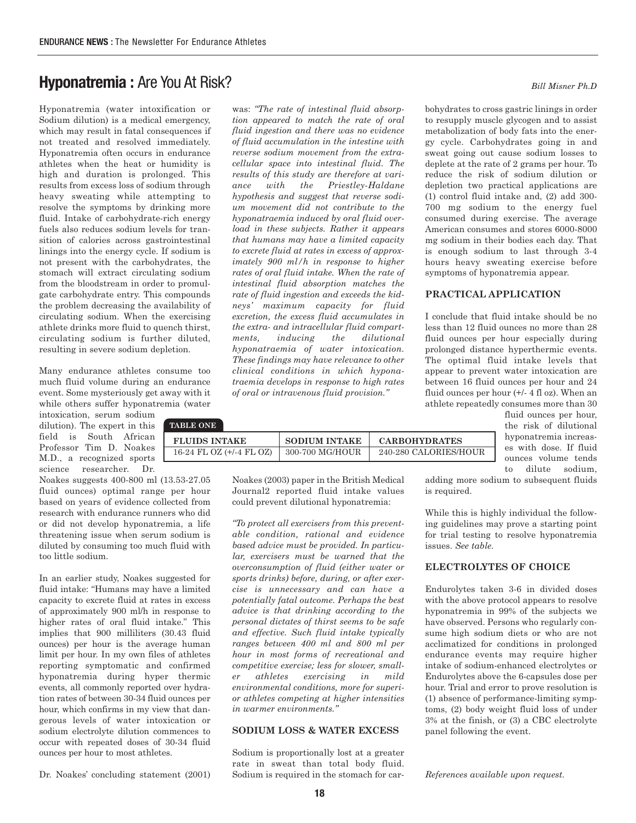## **Hyponatremia :** Are You At Risk?

Hyponatremia (water intoxification or Sodium dilution) is a medical emergency, which may result in fatal consequences if not treated and resolved immediately. Hyponatremia often occurs in endurance athletes when the heat or humidity is high and duration is prolonged. This results from excess loss of sodium through heavy sweating while attempting to resolve the symptoms by drinking more fluid. Intake of carbohydrate-rich energy fuels also reduces sodium levels for transition of calories across gastrointestinal linings into the energy cycle. If sodium is not present with the carbohydrates, the stomach will extract circulating sodium from the bloodstream in order to promulgate carbohydrate entry. This compounds the problem decreasing the availability of circulating sodium. When the exercising athlete drinks more fluid to quench thirst, circulating sodium is further diluted, resulting in severe sodium depletion.

Many endurance athletes consume too much fluid volume during an endurance event. Some mysteriously get away with it while others suffer hyponatremia (water

intoxication, serum sodium dilution). The expert in this field is South African Professor Tim D. Noakes M.D., a recognized sports science researcher. Dr.

Noakes suggests 400-800 ml (13.53-27.05 fluid ounces) optimal range per hour based on years of evidence collected from research with endurance runners who did or did not develop hyponatremia, a life threatening issue when serum sodium is diluted by consuming too much fluid with too little sodium.

In an earlier study, Noakes suggested for fluid intake: "Humans may have a limited capacity to excrete fluid at rates in excess of approximately 900 ml/h in response to higher rates of oral fluid intake." This implies that 900 milliliters (30.43 fluid ounces) per hour is the average human limit per hour. In my own files of athletes reporting symptomatic and confirmed hyponatremia during hyper thermic events, all commonly reported over hydration rates of between 30-34 fluid ounces per hour, which confirms in my view that dangerous levels of water intoxication or sodium electrolyte dilution commences to occur with repeated doses of 30-34 fluid ounces per hour to most athletes.

Dr. Noakes' concluding statement (2001)

was: *"The rate of intestinal fluid absorption appeared to match the rate of oral fluid ingestion and there was no evidence of fluid accumulation in the intestine with reverse sodium movement from the extracellular space into intestinal fluid. The results of this study are therefore at variance with the Priestley-Haldane hypothesis and suggest that reverse sodium movement did not contribute to the hyponatraemia induced by oral fluid overload in these subjects. Rather it appears that humans may have a limited capacity to excrete fluid at rates in excess of approximately 900 ml/h in response to higher rates of oral fluid intake. When the rate of intestinal fluid absorption matches the rate of fluid ingestion and exceeds the kidneys' maximum capacity for fluid excretion, the excess fluid accumulates in the extra- and intracellular fluid compartments, inducing the dilutional hyponatraemia of water intoxication. These findings may have relevance to other clinical conditions in which hyponatraemia develops in response to high rates of oral or intravenous fluid provision."* 

| TABLE ONE-               |                      |                       |
|--------------------------|----------------------|-----------------------|
| <b>FLUIDS INTAKE</b>     | <b>SODIUM INTAKE</b> | <b>CARBOHYDRATES</b>  |
| 16-24 FL OZ (+/-4 FL OZ) | 300-700 MG/HOUR      | 240-280 CALORIES/HOUR |

Noakes (2003) paper in the British Medical Journal2 reported fluid intake values could prevent dilutional hyponatremia:

*"To protect all exercisers from this preventable condition, rational and evidence based advice must be provided. In particular, exercisers must be warned that the overconsumption of fluid (either water or sports drinks) before, during, or after exercise is unnecessary and can have a potentially fatal outcome. Perhaps the best advice is that drinking according to the personal dictates of thirst seems to be safe and effective. Such fluid intake typically ranges between 400 ml and 800 ml per hour in most forms of recreational and competitive exercise; less for slower, smaller athletes exercising in mild environmental conditions, more for superior athletes competing at higher intensities in warmer environments."*

#### **SODIUM LOSS & WATER EXCESS**

Sodium is proportionally lost at a greater rate in sweat than total body fluid. Sodium is required in the stomach for car*Bill Misner Ph.D*

bohydrates to cross gastric linings in order to resupply muscle glycogen and to assist metabolization of body fats into the energy cycle. Carbohydrates going in and sweat going out cause sodium losses to deplete at the rate of 2 grams per hour. To reduce the risk of sodium dilution or depletion two practical applications are (1) control fluid intake and, (2) add 300- 700 mg sodium to the energy fuel consumed during exercise. The average American consumes and stores 6000-8000 mg sodium in their bodies each day. That is enough sodium to last through 3-4 hours heavy sweating exercise before symptoms of hyponatremia appear.

#### **PRACTICAL APPLICATION**

I conclude that fluid intake should be no less than 12 fluid ounces no more than 28 fluid ounces per hour especially during prolonged distance hyperthermic events. The optimal fluid intake levels that appear to prevent water intoxication are between 16 fluid ounces per hour and 24 fluid ounces per hour (+/- 4 fl oz). When an athlete repeatedly consumes more than 30

> fluid ounces per hour, the risk of dilutional hyponatremia increases with dose. If fluid ounces volume tends to dilute sodium,

adding more sodium to subsequent fluids is required.

While this is highly individual the following guidelines may prove a starting point for trial testing to resolve hyponatremia issues. *See table.*

#### **ELECTROLYTES OF CHOICE**

Endurolytes taken 3-6 in divided doses with the above protocol appears to resolve hyponatremia in 99% of the subjects we have observed. Persons who regularly consume high sodium diets or who are not acclimatized for conditions in prolonged endurance events may require higher intake of sodium-enhanced electrolytes or Endurolytes above the 6-capsules dose per hour. Trial and error to prove resolution is (1) absence of performance-limiting symptoms, (2) body weight fluid loss of under 3% at the finish, or (3) a CBC electrolyte panel following the event.

*References available upon request.*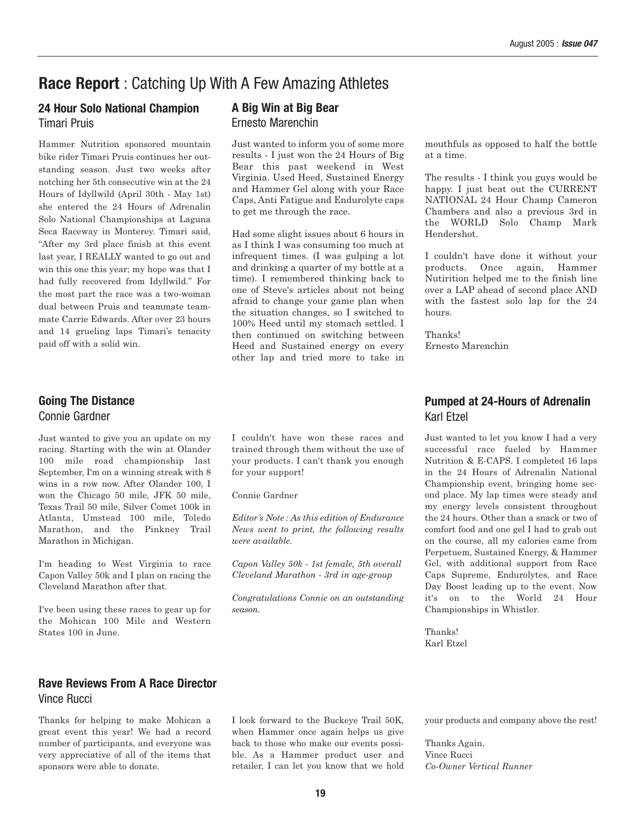## **Race Report** : Catching Up With A Few Amazing Athletes

#### **24 Hour Solo National Champion** Timari Pruis

Hammer Nutrition sponsored mountain bike rider Timari Pruis continues her outstanding season. Just two weeks after notching her 5th consecutive win at the 24 Hours of Idyllwild (April 30th - May 1st) she entered the 24 Hours of Adrenalin Solo National Championships at Laguna Seca Raceway in Monterey. Timari said, "After my 3rd place finish at this event last year, I REALLY wanted to go out and win this one this year; my hope was that I had fully recovered from Idyllwild." For the most part the race was a two-woman dual between Pruis and teammate teammate Carrie Edwards. After over 23 hours and 14 grueling laps Timari's tenacity paid off with a solid win.

### **Going The Distance** Connie Gardner

Just wanted to give you an update on my racing. Starting with the win at Olander 100 mile road championship last September, I'm on a winning streak with 8 wins in a row now. After Olander 100, I won the Chicago 50 mile, JFK 50 mile, Texas Trail 50 mile, Silver Comet 100k in Atlanta, Umstead 100 mile, Toledo Marathon, and the Pinkney Trail Marathon in Michigan.

I'm heading to West Virginia to race Capon Valley 50k and I plan on racing the Cleveland Marathon after that.

I've been using these races to gear up for the Mohican 100 Mile and Western States 100 in June.

#### **Rave Reviews From A Race Director** Vince Rucci

Thanks for helping to make Mohican a great event this year! We had a record number of participants, and everyone was very appreciative of all of the items that sponsors were able to donate.

#### **A Big Win at Big Bear** Ernesto Marenchin

Just wanted to inform you of some more results - I just won the 24 Hours of Big Bear this past weekend in West Virginia. Used Heed, Sustained Energy and Hammer Gel along with your Race Caps, Anti Fatigue and Endurolyte caps to get me through the race.

Had some slight issues about 6 hours in as I think I was consuming too much at infrequent times. (I was gulping a lot and drinking a quarter of my bottle at a time). I remembered thinking back to one of Steve's articles about not being afraid to change your game plan when the situation changes, so I switched to 100% Heed until my stomach settled. I then continued on switching between Heed and Sustained energy on every other lap and tried more to take in

I couldn't have won these races and trained through them without the use of your products. I can't thank you enough for your support!

Connie Gardner

*Editor's Note : As this edition of Endurance News went to print, the following results were available.*

*Capon Valley 50k - 1st female, 5th overall Cleveland Marathon - 3rd in age-group*

*Congratulations Connie on an outstanding season.*

mouthfuls as opposed to half the bottle at a time.

The results - I think you guys would be happy. I just beat out the CURRENT NATIONAL 24 Hour Champ Cameron Chambers and also a previous 3rd in the WORLD Solo Champ Mark Hendershot.

I couldn't have done it without your products. Once again, Hammer Nutirition helped me to the finish line over a LAP ahead of second place AND with the fastest solo lap for the 24 hours.

Thanks! Ernesto Marenchin

#### **Pumped at 24-Hours of Adrenalin** Karl Etzel

Just wanted to let you know I had a very successful race fueled by Hammer Nutrition & E-CAPS. I completed 16 laps in the 24 Hours of Adrenalin National Championship event, bringing home second place. My lap times were steady and my energy levels consistent throughout the 24 hours. Other than a snack or two of comfort food and one gel I had to grab out on the course, all my calories came from Perpetuem, Sustained Energy, & Hammer Gel, with additional support from Race Caps Supreme, Endurolytes, and Race Day Boost leading up to the event. Now it's on to the World 24 Hour Championships in Whistler.

Thanks! Karl Etzel

I look forward to the Buckeye Trail 50K, when Hammer once again helps us give back to those who make our events possible. As a Hammer product user and retailer, I can let you know that we hold your products and company above the rest!

Thanks Again, Vince Rucci *Co-Owner Vertical Runner*